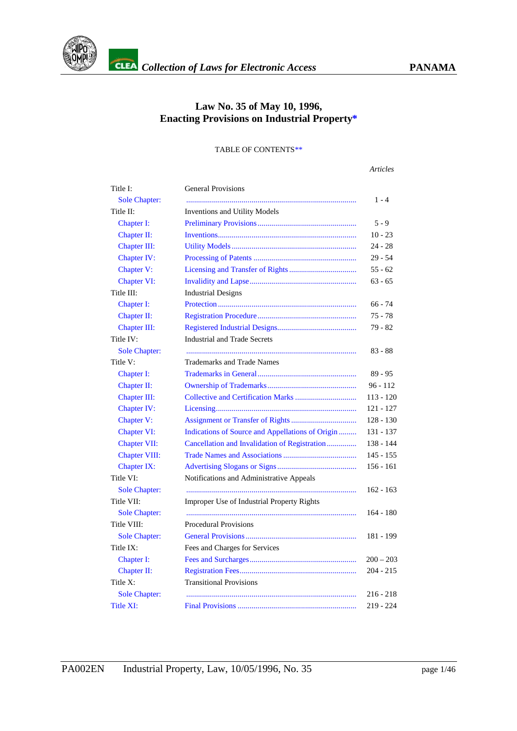# **Law No. 35 of May 10, 1996, Enacting Provisions on Industrial Propert[y\\*](#page-45-0)**

## TABLE OF CONTENT[S\\*\\*](#page-45-0)

*Articles*

| Title I:             | <b>General Provisions</b>                        |             |
|----------------------|--------------------------------------------------|-------------|
| <b>Sole Chapter:</b> |                                                  | $1 - 4$     |
| Title II:            | <b>Inventions and Utility Models</b>             |             |
| Chapter I:           |                                                  | $5 - 9$     |
| Chapter II:          |                                                  | $10 - 23$   |
| Chapter III:         |                                                  | $24 - 28$   |
| Chapter IV:          |                                                  | 29 - 54     |
| Chapter V:           |                                                  | $55 - 62$   |
| Chapter VI:          |                                                  | $63 - 65$   |
| Title III:           | <b>Industrial Designs</b>                        |             |
| Chapter I:           |                                                  | $66 - 74$   |
| Chapter II:          |                                                  | $75 - 78$   |
| Chapter III:         |                                                  | 79 - 82     |
| Title IV:            | <b>Industrial and Trade Secrets</b>              |             |
| <b>Sole Chapter:</b> |                                                  | $83 - 88$   |
| Title V:             | Trademarks and Trade Names                       |             |
| <b>Chapter I:</b>    |                                                  | $89 - 95$   |
| Chapter II:          |                                                  | $96 - 112$  |
| Chapter III:         |                                                  | $113 - 120$ |
| Chapter IV:          |                                                  | 121 - 127   |
| Chapter V:           |                                                  | $128 - 130$ |
| <b>Chapter VI:</b>   | Indications of Source and Appellations of Origin | 131 - 137   |
| <b>Chapter VII:</b>  | Cancellation and Invalidation of Registration    | 138 - 144   |
| <b>Chapter VIII:</b> |                                                  | $145 - 155$ |
| <b>Chapter IX:</b>   |                                                  | $156 - 161$ |
| Title VI:            | Notifications and Administrative Appeals         |             |
| <b>Sole Chapter:</b> |                                                  | $162 - 163$ |
| Title VII:           | Improper Use of Industrial Property Rights       |             |
| <b>Sole Chapter:</b> |                                                  | $164 - 180$ |
| Title VIII:          | <b>Procedural Provisions</b>                     |             |
| <b>Sole Chapter:</b> |                                                  | 181 - 199   |
| Title IX:            | Fees and Charges for Services                    |             |
| Chapter I:           |                                                  | $200 - 203$ |
| Chapter II:          |                                                  | $204 - 215$ |
| Title X:             | <b>Transitional Provisions</b>                   |             |
| <b>Sole Chapter:</b> |                                                  | $216 - 218$ |
| Title XI:            |                                                  | 219 - 224   |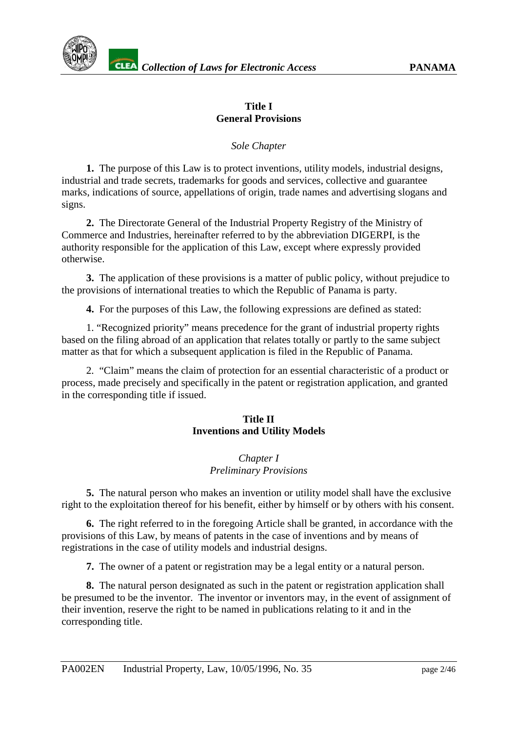## **Title I General Provisions**

*Sole Chapter*

<span id="page-1-0"></span>**1.** The purpose of this Law is to protect inventions, utility models, industrial designs, industrial and trade secrets, trademarks for goods and services, collective and guarantee marks, indications of source, appellations of origin, trade names and advertising slogans and signs.

**2.** The Directorate General of the Industrial Property Registry of the Ministry of Commerce and Industries, hereinafter referred to by the abbreviation DIGERPI, is the authority responsible for the application of this Law, except where expressly provided otherwise.

**3.** The application of these provisions is a matter of public policy, without prejudice to the provisions of international treaties to which the Republic of Panama is party.

**4.** For the purposes of this Law, the following expressions are defined as stated:

1. "Recognized priority" means precedence for the grant of industrial property rights based on the filing abroad of an application that relates totally or partly to the same subject matter as that for which a subsequent application is filed in the Republic of Panama.

2. "Claim" means the claim of protection for an essential characteristic of a product or process, made precisely and specifically in the patent or registration application, and granted in the corresponding title if issued.

# **Title II Inventions and Utility Models**

## *Chapter I Preliminary Provisions*

**5.** The natural person who makes an invention or utility model shall have the exclusive right to the exploitation thereof for his benefit, either by himself or by others with his consent.

**6.** The right referred to in the foregoing Article shall be granted, in accordance with the provisions of this Law, by means of patents in the case of inventions and by means of registrations in the case of utility models and industrial designs.

**7.** The owner of a patent or registration may be a legal entity or a natural person.

**8.** The natural person designated as such in the patent or registration application shall be presumed to be the inventor. The inventor or inventors may, in the event of assignment of their invention, reserve the right to be named in publications relating to it and in the corresponding title.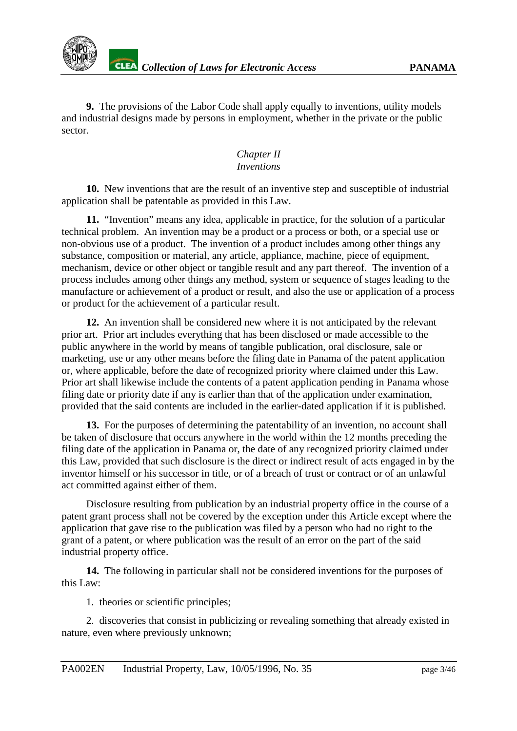<span id="page-2-0"></span>**9.** The provisions of the Labor Code shall apply equally to inventions, utility models and industrial designs made by persons in employment, whether in the private or the public sector.

## *Chapter II Inventions*

**10.** New inventions that are the result of an inventive step and susceptible of industrial application shall be patentable as provided in this Law.

**11.** "Invention" means any idea, applicable in practice, for the solution of a particular technical problem. An invention may be a product or a process or both, or a special use or non-obvious use of a product. The invention of a product includes among other things any substance, composition or material, any article, appliance, machine, piece of equipment, mechanism, device or other object or tangible result and any part thereof. The invention of a process includes among other things any method, system or sequence of stages leading to the manufacture or achievement of a product or result, and also the use or application of a process or product for the achievement of a particular result.

**12.** An invention shall be considered new where it is not anticipated by the relevant prior art. Prior art includes everything that has been disclosed or made accessible to the public anywhere in the world by means of tangible publication, oral disclosure, sale or marketing, use or any other means before the filing date in Panama of the patent application or, where applicable, before the date of recognized priority where claimed under this Law. Prior art shall likewise include the contents of a patent application pending in Panama whose filing date or priority date if any is earlier than that of the application under examination, provided that the said contents are included in the earlier-dated application if it is published.

**13.** For the purposes of determining the patentability of an invention, no account shall be taken of disclosure that occurs anywhere in the world within the 12 months preceding the filing date of the application in Panama or, the date of any recognized priority claimed under this Law, provided that such disclosure is the direct or indirect result of acts engaged in by the inventor himself or his successor in title, or of a breach of trust or contract or of an unlawful act committed against either of them.

Disclosure resulting from publication by an industrial property office in the course of a patent grant process shall not be covered by the exception under this Article except where the application that gave rise to the publication was filed by a person who had no right to the grant of a patent, or where publication was the result of an error on the part of the said industrial property office.

**14.** The following in particular shall not be considered inventions for the purposes of this Law:

1. theories or scientific principles;

2. discoveries that consist in publicizing or revealing something that already existed in nature, even where previously unknown;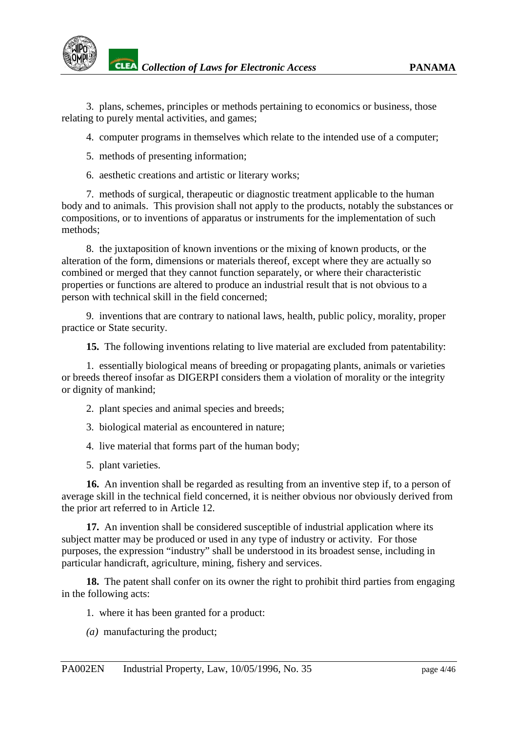3. plans, schemes, principles or methods pertaining to economics or business, those relating to purely mental activities, and games;

4. computer programs in themselves which relate to the intended use of a computer;

5. methods of presenting information;

6. aesthetic creations and artistic or literary works;

7. methods of surgical, therapeutic or diagnostic treatment applicable to the human body and to animals. This provision shall not apply to the products, notably the substances or compositions, or to inventions of apparatus or instruments for the implementation of such methods;

8. the juxtaposition of known inventions or the mixing of known products, or the alteration of the form, dimensions or materials thereof, except where they are actually so combined or merged that they cannot function separately, or where their characteristic properties or functions are altered to produce an industrial result that is not obvious to a person with technical skill in the field concerned;

9. inventions that are contrary to national laws, health, public policy, morality, proper practice or State security.

**15.** The following inventions relating to live material are excluded from patentability:

1. essentially biological means of breeding or propagating plants, animals or varieties or breeds thereof insofar as DIGERPI considers them a violation of morality or the integrity or dignity of mankind;

2. plant species and animal species and breeds;

3. biological material as encountered in nature;

4. live material that forms part of the human body;

5. plant varieties.

**16.** An invention shall be regarded as resulting from an inventive step if, to a person of average skill in the technical field concerned, it is neither obvious nor obviously derived from the prior art referred to in Article 12.

**17.** An invention shall be considered susceptible of industrial application where its subject matter may be produced or used in any type of industry or activity. For those purposes, the expression "industry" shall be understood in its broadest sense, including in particular handicraft, agriculture, mining, fishery and services.

**18.** The patent shall confer on its owner the right to prohibit third parties from engaging in the following acts:

1. where it has been granted for a product:

*(a)* manufacturing the product;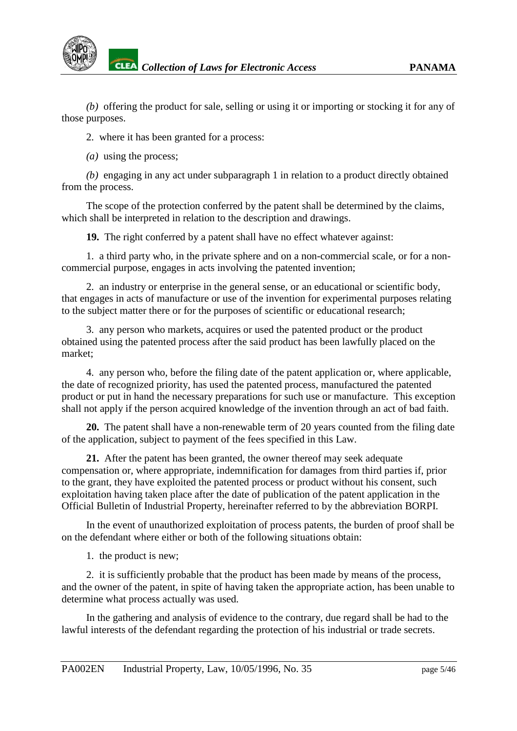*(b)* offering the product for sale, selling or using it or importing or stocking it for any of those purposes.

2. where it has been granted for a process:

*(a)* using the process;

*(b)* engaging in any act under subparagraph 1 in relation to a product directly obtained from the process.

The scope of the protection conferred by the patent shall be determined by the claims, which shall be interpreted in relation to the description and drawings.

**19.** The right conferred by a patent shall have no effect whatever against:

1. a third party who, in the private sphere and on a non-commercial scale, or for a noncommercial purpose, engages in acts involving the patented invention;

2. an industry or enterprise in the general sense, or an educational or scientific body, that engages in acts of manufacture or use of the invention for experimental purposes relating to the subject matter there or for the purposes of scientific or educational research;

3. any person who markets, acquires or used the patented product or the product obtained using the patented process after the said product has been lawfully placed on the market;

4. any person who, before the filing date of the patent application or, where applicable, the date of recognized priority, has used the patented process, manufactured the patented product or put in hand the necessary preparations for such use or manufacture. This exception shall not apply if the person acquired knowledge of the invention through an act of bad faith.

**20.** The patent shall have a non-renewable term of 20 years counted from the filing date of the application, subject to payment of the fees specified in this Law.

**21.** After the patent has been granted, the owner thereof may seek adequate compensation or, where appropriate, indemnification for damages from third parties if, prior to the grant, they have exploited the patented process or product without his consent, such exploitation having taken place after the date of publication of the patent application in the Official Bulletin of Industrial Property, hereinafter referred to by the abbreviation BORPI.

In the event of unauthorized exploitation of process patents, the burden of proof shall be on the defendant where either or both of the following situations obtain:

1. the product is new;

2. it is sufficiently probable that the product has been made by means of the process, and the owner of the patent, in spite of having taken the appropriate action, has been unable to determine what process actually was used.

In the gathering and analysis of evidence to the contrary, due regard shall be had to the lawful interests of the defendant regarding the protection of his industrial or trade secrets.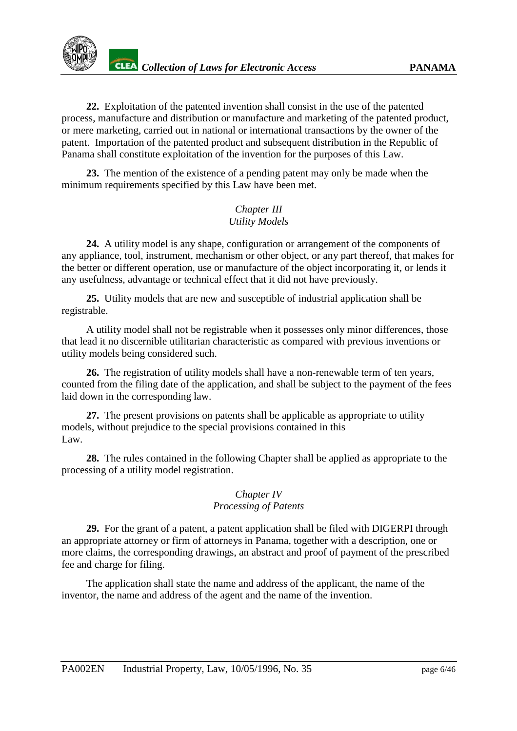<span id="page-5-0"></span>**22.** Exploitation of the patented invention shall consist in the use of the patented process, manufacture and distribution or manufacture and marketing of the patented product, or mere marketing, carried out in national or international transactions by the owner of the patent. Importation of the patented product and subsequent distribution in the Republic of Panama shall constitute exploitation of the invention for the purposes of this Law.

**23.** The mention of the existence of a pending patent may only be made when the minimum requirements specified by this Law have been met.

#### *Chapter III Utility Models*

**24.** A utility model is any shape, configuration or arrangement of the components of any appliance, tool, instrument, mechanism or other object, or any part thereof, that makes for the better or different operation, use or manufacture of the object incorporating it, or lends it any usefulness, advantage or technical effect that it did not have previously.

**25.** Utility models that are new and susceptible of industrial application shall be registrable.

A utility model shall not be registrable when it possesses only minor differences, those that lead it no discernible utilitarian characteristic as compared with previous inventions or utility models being considered such.

**26.** The registration of utility models shall have a non-renewable term of ten years, counted from the filing date of the application, and shall be subject to the payment of the fees laid down in the corresponding law.

**27.** The present provisions on patents shall be applicable as appropriate to utility models, without prejudice to the special provisions contained in this Law.

**28.** The rules contained in the following Chapter shall be applied as appropriate to the processing of a utility model registration.

## *Chapter IV Processing of Patents*

**29.** For the grant of a patent, a patent application shall be filed with DIGERPI through an appropriate attorney or firm of attorneys in Panama, together with a description, one or more claims, the corresponding drawings, an abstract and proof of payment of the prescribed fee and charge for filing.

The application shall state the name and address of the applicant, the name of the inventor, the name and address of the agent and the name of the invention.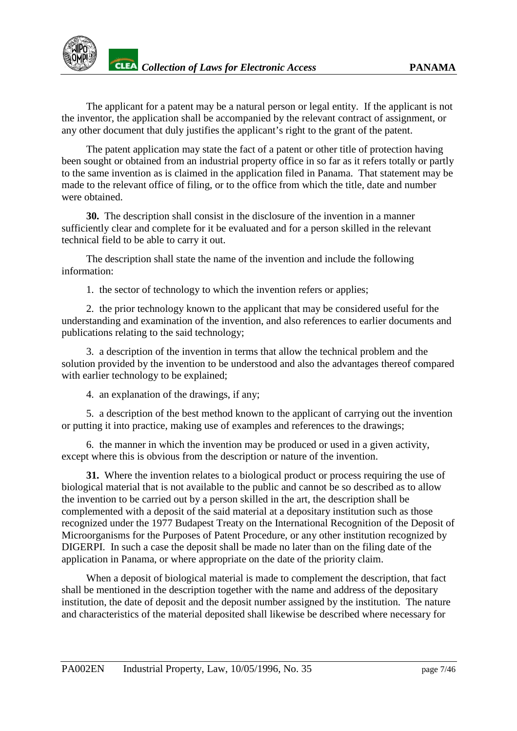The applicant for a patent may be a natural person or legal entity. If the applicant is not the inventor, the application shall be accompanied by the relevant contract of assignment, or any other document that duly justifies the applicant's right to the grant of the patent.

The patent application may state the fact of a patent or other title of protection having been sought or obtained from an industrial property office in so far as it refers totally or partly to the same invention as is claimed in the application filed in Panama. That statement may be made to the relevant office of filing, or to the office from which the title, date and number were obtained.

**30.** The description shall consist in the disclosure of the invention in a manner sufficiently clear and complete for it be evaluated and for a person skilled in the relevant technical field to be able to carry it out.

The description shall state the name of the invention and include the following information:

1. the sector of technology to which the invention refers or applies;

2. the prior technology known to the applicant that may be considered useful for the understanding and examination of the invention, and also references to earlier documents and publications relating to the said technology;

3. a description of the invention in terms that allow the technical problem and the solution provided by the invention to be understood and also the advantages thereof compared with earlier technology to be explained:

4. an explanation of the drawings, if any;

5. a description of the best method known to the applicant of carrying out the invention or putting it into practice, making use of examples and references to the drawings;

6. the manner in which the invention may be produced or used in a given activity, except where this is obvious from the description or nature of the invention.

**31.** Where the invention relates to a biological product or process requiring the use of biological material that is not available to the public and cannot be so described as to allow the invention to be carried out by a person skilled in the art, the description shall be complemented with a deposit of the said material at a depositary institution such as those recognized under the 1977 Budapest Treaty on the International Recognition of the Deposit of Microorganisms for the Purposes of Patent Procedure, or any other institution recognized by DIGERPI. In such a case the deposit shall be made no later than on the filing date of the application in Panama, or where appropriate on the date of the priority claim.

When a deposit of biological material is made to complement the description, that fact shall be mentioned in the description together with the name and address of the depositary institution, the date of deposit and the deposit number assigned by the institution. The nature and characteristics of the material deposited shall likewise be described where necessary for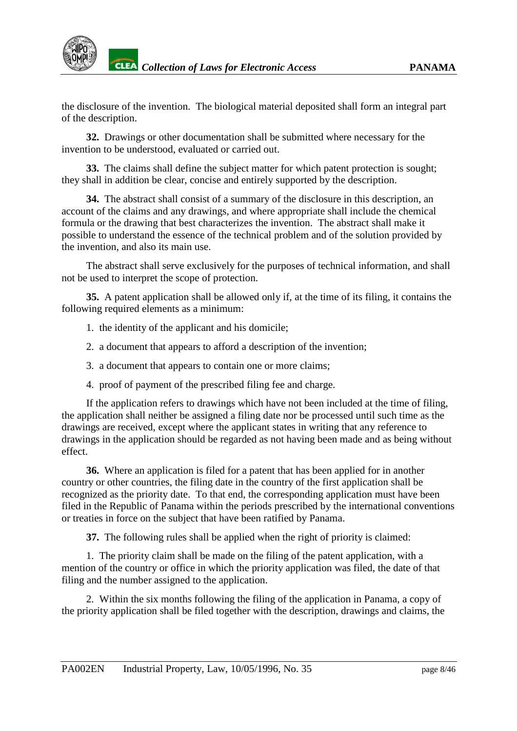the disclosure of the invention. The biological material deposited shall form an integral part of the description.

**32.** Drawings or other documentation shall be submitted where necessary for the invention to be understood, evaluated or carried out.

**33.** The claims shall define the subject matter for which patent protection is sought; they shall in addition be clear, concise and entirely supported by the description.

**34.** The abstract shall consist of a summary of the disclosure in this description, an account of the claims and any drawings, and where appropriate shall include the chemical formula or the drawing that best characterizes the invention. The abstract shall make it possible to understand the essence of the technical problem and of the solution provided by the invention, and also its main use.

The abstract shall serve exclusively for the purposes of technical information, and shall not be used to interpret the scope of protection.

**35.** A patent application shall be allowed only if, at the time of its filing, it contains the following required elements as a minimum:

- 1. the identity of the applicant and his domicile;
- 2. a document that appears to afford a description of the invention;
- 3. a document that appears to contain one or more claims;
- 4. proof of payment of the prescribed filing fee and charge.

If the application refers to drawings which have not been included at the time of filing, the application shall neither be assigned a filing date nor be processed until such time as the drawings are received, except where the applicant states in writing that any reference to drawings in the application should be regarded as not having been made and as being without effect.

**36.** Where an application is filed for a patent that has been applied for in another country or other countries, the filing date in the country of the first application shall be recognized as the priority date. To that end, the corresponding application must have been filed in the Republic of Panama within the periods prescribed by the international conventions or treaties in force on the subject that have been ratified by Panama.

**37.** The following rules shall be applied when the right of priority is claimed:

1. The priority claim shall be made on the filing of the patent application, with a mention of the country or office in which the priority application was filed, the date of that filing and the number assigned to the application.

2. Within the six months following the filing of the application in Panama, a copy of the priority application shall be filed together with the description, drawings and claims, the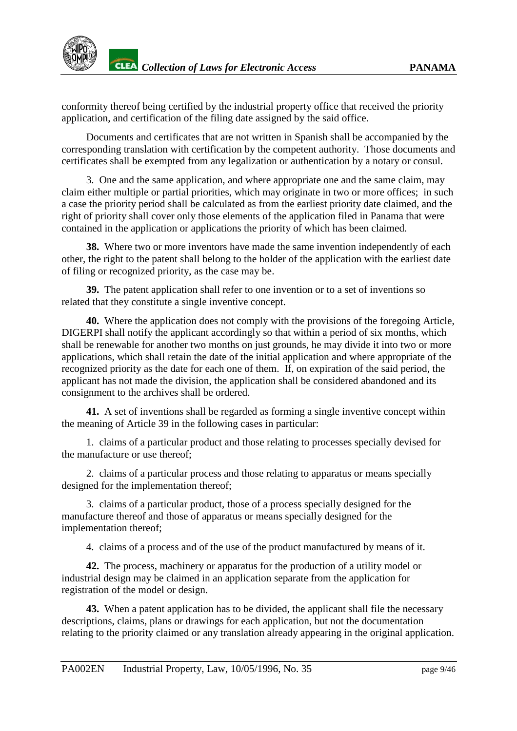conformity thereof being certified by the industrial property office that received the priority application, and certification of the filing date assigned by the said office.

Documents and certificates that are not written in Spanish shall be accompanied by the corresponding translation with certification by the competent authority. Those documents and certificates shall be exempted from any legalization or authentication by a notary or consul.

3. One and the same application, and where appropriate one and the same claim, may claim either multiple or partial priorities, which may originate in two or more offices; in such a case the priority period shall be calculated as from the earliest priority date claimed, and the right of priority shall cover only those elements of the application filed in Panama that were contained in the application or applications the priority of which has been claimed.

**38.** Where two or more inventors have made the same invention independently of each other, the right to the patent shall belong to the holder of the application with the earliest date of filing or recognized priority, as the case may be.

**39.** The patent application shall refer to one invention or to a set of inventions so related that they constitute a single inventive concept.

**40.** Where the application does not comply with the provisions of the foregoing Article, DIGERPI shall notify the applicant accordingly so that within a period of six months, which shall be renewable for another two months on just grounds, he may divide it into two or more applications, which shall retain the date of the initial application and where appropriate of the recognized priority as the date for each one of them. If, on expiration of the said period, the applicant has not made the division, the application shall be considered abandoned and its consignment to the archives shall be ordered.

**41.** A set of inventions shall be regarded as forming a single inventive concept within the meaning of Article 39 in the following cases in particular:

1. claims of a particular product and those relating to processes specially devised for the manufacture or use thereof;

2. claims of a particular process and those relating to apparatus or means specially designed for the implementation thereof;

3. claims of a particular product, those of a process specially designed for the manufacture thereof and those of apparatus or means specially designed for the implementation thereof;

4. claims of a process and of the use of the product manufactured by means of it.

**42.** The process, machinery or apparatus for the production of a utility model or industrial design may be claimed in an application separate from the application for registration of the model or design.

**43.** When a patent application has to be divided, the applicant shall file the necessary descriptions, claims, plans or drawings for each application, but not the documentation relating to the priority claimed or any translation already appearing in the original application.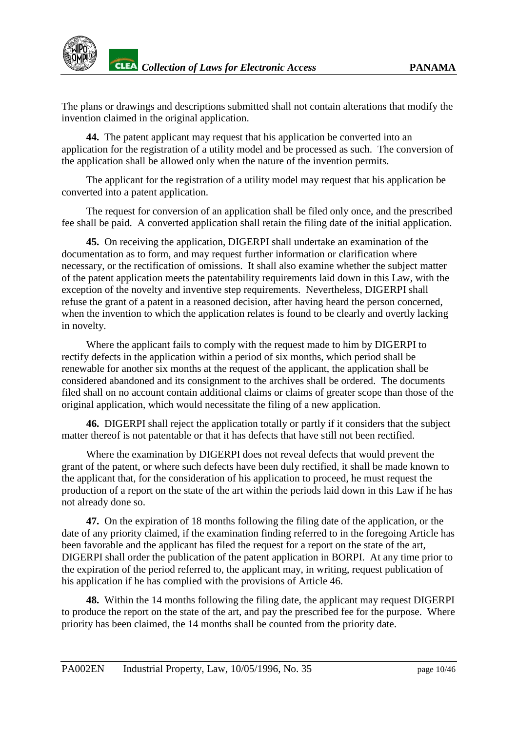

The plans or drawings and descriptions submitted shall not contain alterations that modify the invention claimed in the original application.

**44.** The patent applicant may request that his application be converted into an application for the registration of a utility model and be processed as such. The conversion of the application shall be allowed only when the nature of the invention permits.

The applicant for the registration of a utility model may request that his application be converted into a patent application.

The request for conversion of an application shall be filed only once, and the prescribed fee shall be paid. A converted application shall retain the filing date of the initial application.

**45.** On receiving the application, DIGERPI shall undertake an examination of the documentation as to form, and may request further information or clarification where necessary, or the rectification of omissions. It shall also examine whether the subject matter of the patent application meets the patentability requirements laid down in this Law, with the exception of the novelty and inventive step requirements. Nevertheless, DIGERPI shall refuse the grant of a patent in a reasoned decision, after having heard the person concerned, when the invention to which the application relates is found to be clearly and overtly lacking in novelty.

Where the applicant fails to comply with the request made to him by DIGERPI to rectify defects in the application within a period of six months, which period shall be renewable for another six months at the request of the applicant, the application shall be considered abandoned and its consignment to the archives shall be ordered. The documents filed shall on no account contain additional claims or claims of greater scope than those of the original application, which would necessitate the filing of a new application.

**46.** DIGERPI shall reject the application totally or partly if it considers that the subject matter thereof is not patentable or that it has defects that have still not been rectified.

Where the examination by DIGERPI does not reveal defects that would prevent the grant of the patent, or where such defects have been duly rectified, it shall be made known to the applicant that, for the consideration of his application to proceed, he must request the production of a report on the state of the art within the periods laid down in this Law if he has not already done so.

**47.** On the expiration of 18 months following the filing date of the application, or the date of any priority claimed, if the examination finding referred to in the foregoing Article has been favorable and the applicant has filed the request for a report on the state of the art, DIGERPI shall order the publication of the patent application in BORPI. At any time prior to the expiration of the period referred to, the applicant may, in writing, request publication of his application if he has complied with the provisions of Article 46.

**48.** Within the 14 months following the filing date, the applicant may request DIGERPI to produce the report on the state of the art, and pay the prescribed fee for the purpose. Where priority has been claimed, the 14 months shall be counted from the priority date.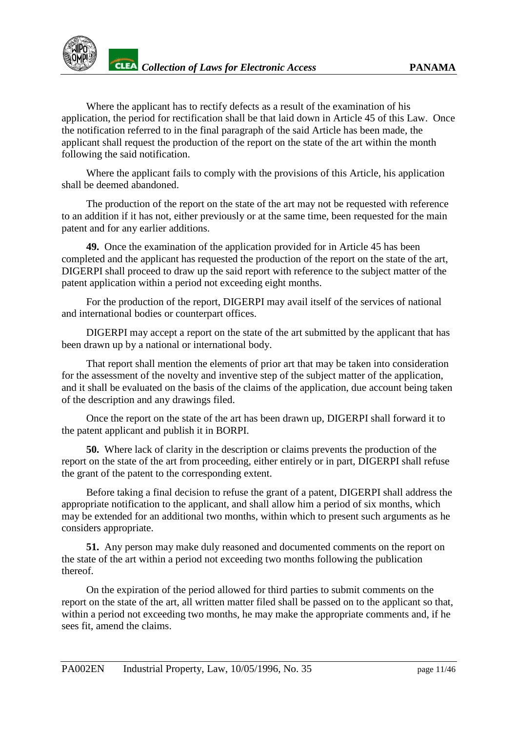

Where the applicant has to rectify defects as a result of the examination of his application, the period for rectification shall be that laid down in Article 45 of this Law. Once the notification referred to in the final paragraph of the said Article has been made, the applicant shall request the production of the report on the state of the art within the month following the said notification.

Where the applicant fails to comply with the provisions of this Article, his application shall be deemed abandoned.

The production of the report on the state of the art may not be requested with reference to an addition if it has not, either previously or at the same time, been requested for the main patent and for any earlier additions.

**49.** Once the examination of the application provided for in Article 45 has been completed and the applicant has requested the production of the report on the state of the art, DIGERPI shall proceed to draw up the said report with reference to the subject matter of the patent application within a period not exceeding eight months.

For the production of the report, DIGERPI may avail itself of the services of national and international bodies or counterpart offices.

DIGERPI may accept a report on the state of the art submitted by the applicant that has been drawn up by a national or international body.

That report shall mention the elements of prior art that may be taken into consideration for the assessment of the novelty and inventive step of the subject matter of the application, and it shall be evaluated on the basis of the claims of the application, due account being taken of the description and any drawings filed.

Once the report on the state of the art has been drawn up, DIGERPI shall forward it to the patent applicant and publish it in BORPI.

**50.** Where lack of clarity in the description or claims prevents the production of the report on the state of the art from proceeding, either entirely or in part, DIGERPI shall refuse the grant of the patent to the corresponding extent.

Before taking a final decision to refuse the grant of a patent, DIGERPI shall address the appropriate notification to the applicant, and shall allow him a period of six months, which may be extended for an additional two months, within which to present such arguments as he considers appropriate.

**51.** Any person may make duly reasoned and documented comments on the report on the state of the art within a period not exceeding two months following the publication thereof.

On the expiration of the period allowed for third parties to submit comments on the report on the state of the art, all written matter filed shall be passed on to the applicant so that, within a period not exceeding two months, he may make the appropriate comments and, if he sees fit, amend the claims.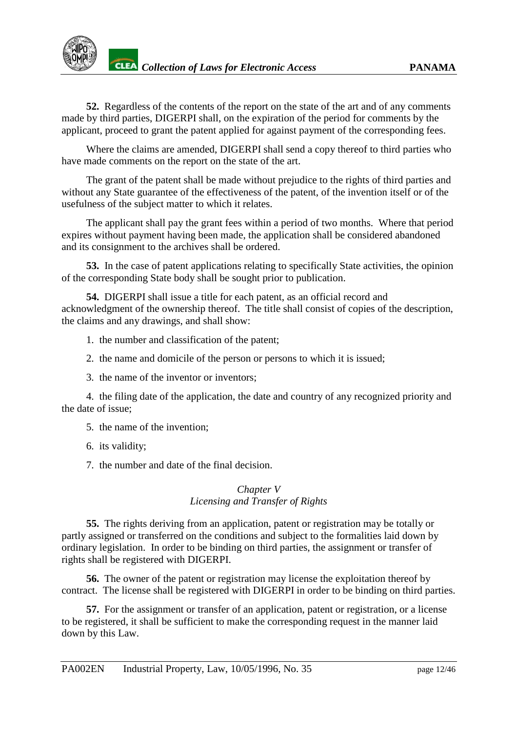<span id="page-11-0"></span>**52.** Regardless of the contents of the report on the state of the art and of any comments made by third parties, DIGERPI shall, on the expiration of the period for comments by the applicant, proceed to grant the patent applied for against payment of the corresponding fees.

Where the claims are amended, DIGERPI shall send a copy thereof to third parties who have made comments on the report on the state of the art.

The grant of the patent shall be made without prejudice to the rights of third parties and without any State guarantee of the effectiveness of the patent, of the invention itself or of the usefulness of the subject matter to which it relates.

The applicant shall pay the grant fees within a period of two months. Where that period expires without payment having been made, the application shall be considered abandoned and its consignment to the archives shall be ordered.

**53.** In the case of patent applications relating to specifically State activities, the opinion of the corresponding State body shall be sought prior to publication.

**54.** DIGERPI shall issue a title for each patent, as an official record and acknowledgment of the ownership thereof. The title shall consist of copies of the description, the claims and any drawings, and shall show:

- 1. the number and classification of the patent;
- 2. the name and domicile of the person or persons to which it is issued;
- 3. the name of the inventor or inventors;

4. the filing date of the application, the date and country of any recognized priority and the date of issue;

- 5. the name of the invention;
- 6. its validity;
- 7. the number and date of the final decision.

## *Chapter V Licensing and Transfer of Rights*

**55.** The rights deriving from an application, patent or registration may be totally or partly assigned or transferred on the conditions and subject to the formalities laid down by ordinary legislation. In order to be binding on third parties, the assignment or transfer of rights shall be registered with DIGERPI.

**56.** The owner of the patent or registration may license the exploitation thereof by contract. The license shall be registered with DIGERPI in order to be binding on third parties.

**57.** For the assignment or transfer of an application, patent or registration, or a license to be registered, it shall be sufficient to make the corresponding request in the manner laid down by this Law.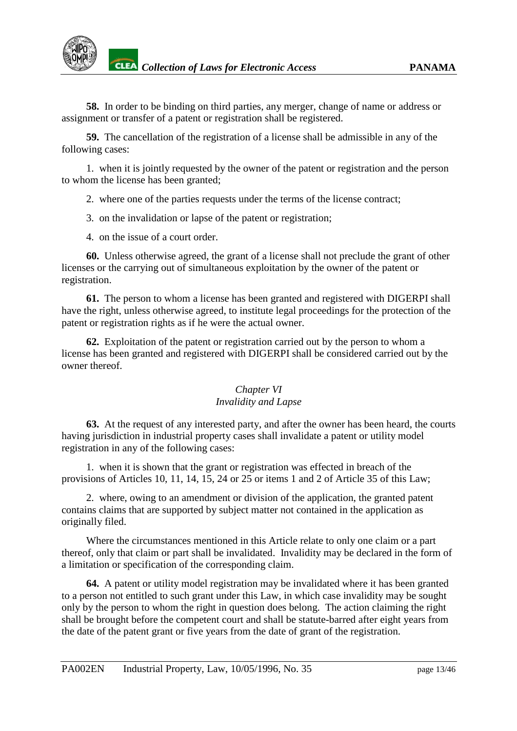<span id="page-12-0"></span>**58.** In order to be binding on third parties, any merger, change of name or address or assignment or transfer of a patent or registration shall be registered.

**59.** The cancellation of the registration of a license shall be admissible in any of the following cases:

1. when it is jointly requested by the owner of the patent or registration and the person to whom the license has been granted;

2. where one of the parties requests under the terms of the license contract;

3. on the invalidation or lapse of the patent or registration;

4. on the issue of a court order.

**60.** Unless otherwise agreed, the grant of a license shall not preclude the grant of other licenses or the carrying out of simultaneous exploitation by the owner of the patent or registration.

**61.** The person to whom a license has been granted and registered with DIGERPI shall have the right, unless otherwise agreed, to institute legal proceedings for the protection of the patent or registration rights as if he were the actual owner.

**62.** Exploitation of the patent or registration carried out by the person to whom a license has been granted and registered with DIGERPI shall be considered carried out by the owner thereof.

#### *Chapter VI Invalidity and Lapse*

**63.** At the request of any interested party, and after the owner has been heard, the courts having jurisdiction in industrial property cases shall invalidate a patent or utility model registration in any of the following cases:

1. when it is shown that the grant or registration was effected in breach of the provisions of Articles 10, 11, 14, 15, 24 or 25 or items 1 and 2 of Article 35 of this Law;

2. where, owing to an amendment or division of the application, the granted patent contains claims that are supported by subject matter not contained in the application as originally filed.

Where the circumstances mentioned in this Article relate to only one claim or a part thereof, only that claim or part shall be invalidated. Invalidity may be declared in the form of a limitation or specification of the corresponding claim.

**64.** A patent or utility model registration may be invalidated where it has been granted to a person not entitled to such grant under this Law, in which case invalidity may be sought only by the person to whom the right in question does belong. The action claiming the right shall be brought before the competent court and shall be statute-barred after eight years from the date of the patent grant or five years from the date of grant of the registration.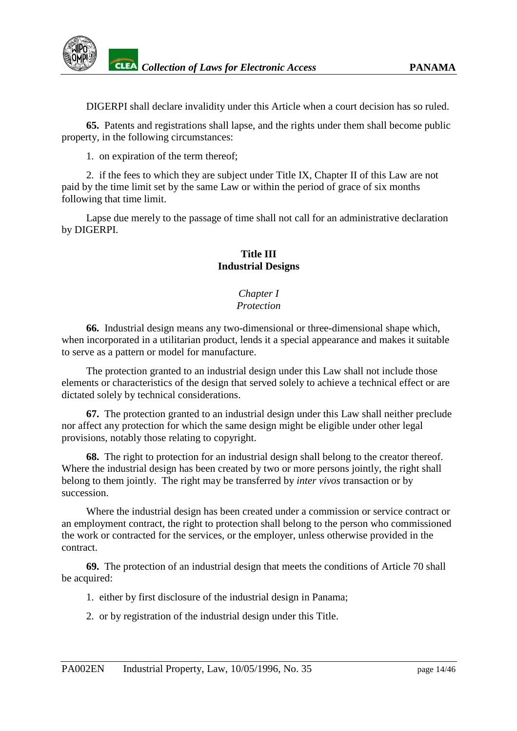<span id="page-13-0"></span>

DIGERPI shall declare invalidity under this Article when a court decision has so ruled.

**65.** Patents and registrations shall lapse, and the rights under them shall become public property, in the following circumstances:

1. on expiration of the term thereof;

2. if the fees to which they are subject under Title IX, Chapter II of this Law are not paid by the time limit set by the same Law or within the period of grace of six months following that time limit.

Lapse due merely to the passage of time shall not call for an administrative declaration by DIGERPI.

## **Title III Industrial Designs**

## *Chapter I Protection*

**66.** Industrial design means any two-dimensional or three-dimensional shape which, when incorporated in a utilitarian product, lends it a special appearance and makes it suitable to serve as a pattern or model for manufacture.

The protection granted to an industrial design under this Law shall not include those elements or characteristics of the design that served solely to achieve a technical effect or are dictated solely by technical considerations.

**67.** The protection granted to an industrial design under this Law shall neither preclude nor affect any protection for which the same design might be eligible under other legal provisions, notably those relating to copyright.

**68.** The right to protection for an industrial design shall belong to the creator thereof. Where the industrial design has been created by two or more persons jointly, the right shall belong to them jointly. The right may be transferred by *inter vivos* transaction or by succession.

Where the industrial design has been created under a commission or service contract or an employment contract, the right to protection shall belong to the person who commissioned the work or contracted for the services, or the employer, unless otherwise provided in the contract.

**69.** The protection of an industrial design that meets the conditions of Article 70 shall be acquired:

1. either by first disclosure of the industrial design in Panama;

2. or by registration of the industrial design under this Title.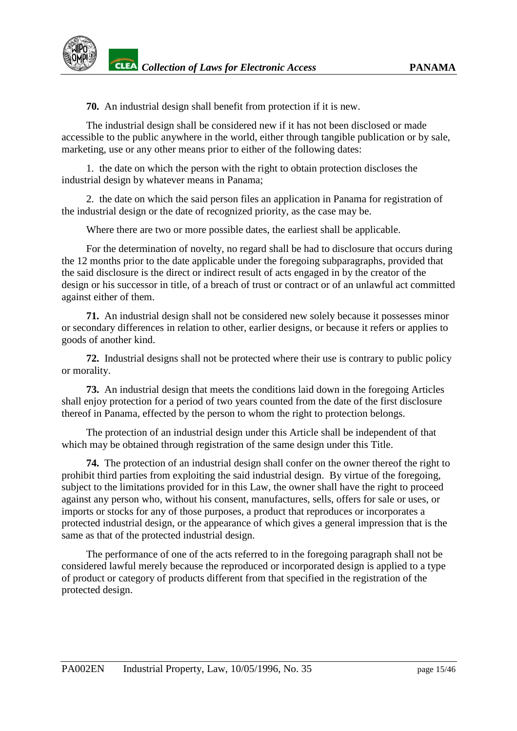**70.** An industrial design shall benefit from protection if it is new.

The industrial design shall be considered new if it has not been disclosed or made accessible to the public anywhere in the world, either through tangible publication or by sale, marketing, use or any other means prior to either of the following dates:

1. the date on which the person with the right to obtain protection discloses the industrial design by whatever means in Panama;

2. the date on which the said person files an application in Panama for registration of the industrial design or the date of recognized priority, as the case may be.

Where there are two or more possible dates, the earliest shall be applicable.

For the determination of novelty, no regard shall be had to disclosure that occurs during the 12 months prior to the date applicable under the foregoing subparagraphs, provided that the said disclosure is the direct or indirect result of acts engaged in by the creator of the design or his successor in title, of a breach of trust or contract or of an unlawful act committed against either of them.

**71.** An industrial design shall not be considered new solely because it possesses minor or secondary differences in relation to other, earlier designs, or because it refers or applies to goods of another kind.

**72.** Industrial designs shall not be protected where their use is contrary to public policy or morality.

**73.** An industrial design that meets the conditions laid down in the foregoing Articles shall enjoy protection for a period of two years counted from the date of the first disclosure thereof in Panama, effected by the person to whom the right to protection belongs.

The protection of an industrial design under this Article shall be independent of that which may be obtained through registration of the same design under this Title.

**74.** The protection of an industrial design shall confer on the owner thereof the right to prohibit third parties from exploiting the said industrial design. By virtue of the foregoing, subject to the limitations provided for in this Law, the owner shall have the right to proceed against any person who, without his consent, manufactures, sells, offers for sale or uses, or imports or stocks for any of those purposes, a product that reproduces or incorporates a protected industrial design, or the appearance of which gives a general impression that is the same as that of the protected industrial design.

The performance of one of the acts referred to in the foregoing paragraph shall not be considered lawful merely because the reproduced or incorporated design is applied to a type of product or category of products different from that specified in the registration of the protected design.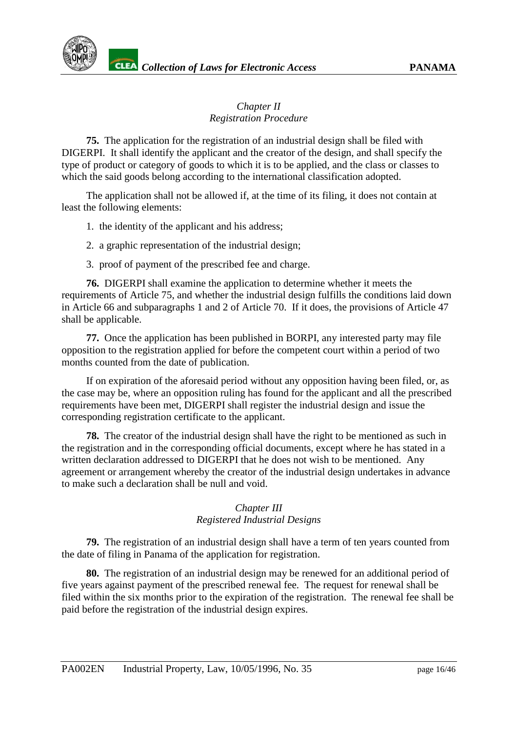## *Chapter II Registration Procedure*

<span id="page-15-0"></span>**75.** The application for the registration of an industrial design shall be filed with DIGERPI. It shall identify the applicant and the creator of the design, and shall specify the type of product or category of goods to which it is to be applied, and the class or classes to which the said goods belong according to the international classification adopted.

The application shall not be allowed if, at the time of its filing, it does not contain at least the following elements:

1. the identity of the applicant and his address;

2. a graphic representation of the industrial design;

3. proof of payment of the prescribed fee and charge.

**76.** DIGERPI shall examine the application to determine whether it meets the requirements of Article 75, and whether the industrial design fulfills the conditions laid down in Article 66 and subparagraphs 1 and 2 of Article 70. If it does, the provisions of Article 47 shall be applicable.

**77.** Once the application has been published in BORPI, any interested party may file opposition to the registration applied for before the competent court within a period of two months counted from the date of publication.

If on expiration of the aforesaid period without any opposition having been filed, or, as the case may be, where an opposition ruling has found for the applicant and all the prescribed requirements have been met, DIGERPI shall register the industrial design and issue the corresponding registration certificate to the applicant.

**78.** The creator of the industrial design shall have the right to be mentioned as such in the registration and in the corresponding official documents, except where he has stated in a written declaration addressed to DIGERPI that he does not wish to be mentioned. Any agreement or arrangement whereby the creator of the industrial design undertakes in advance to make such a declaration shall be null and void.

#### *Chapter III Registered Industrial Designs*

**79.** The registration of an industrial design shall have a term of ten years counted from the date of filing in Panama of the application for registration.

**80.** The registration of an industrial design may be renewed for an additional period of five years against payment of the prescribed renewal fee. The request for renewal shall be filed within the six months prior to the expiration of the registration. The renewal fee shall be paid before the registration of the industrial design expires.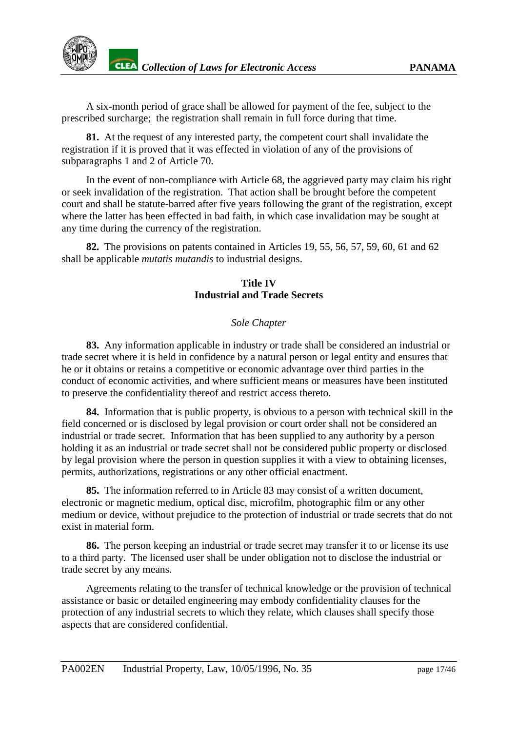<span id="page-16-0"></span>A six-month period of grace shall be allowed for payment of the fee, subject to the prescribed surcharge; the registration shall remain in full force during that time.

**81.** At the request of any interested party, the competent court shall invalidate the registration if it is proved that it was effected in violation of any of the provisions of subparagraphs 1 and 2 of Article 70.

In the event of non-compliance with Article 68, the aggrieved party may claim his right or seek invalidation of the registration. That action shall be brought before the competent court and shall be statute-barred after five years following the grant of the registration, except where the latter has been effected in bad faith, in which case invalidation may be sought at any time during the currency of the registration.

**82.** The provisions on patents contained in Articles 19, 55, 56, 57, 59, 60, 61 and 62 shall be applicable *mutatis mutandis* to industrial designs.

## **Title IV Industrial and Trade Secrets**

## *Sole Chapter*

**83.** Any information applicable in industry or trade shall be considered an industrial or trade secret where it is held in confidence by a natural person or legal entity and ensures that he or it obtains or retains a competitive or economic advantage over third parties in the conduct of economic activities, and where sufficient means or measures have been instituted to preserve the confidentiality thereof and restrict access thereto.

**84.** Information that is public property, is obvious to a person with technical skill in the field concerned or is disclosed by legal provision or court order shall not be considered an industrial or trade secret. Information that has been supplied to any authority by a person holding it as an industrial or trade secret shall not be considered public property or disclosed by legal provision where the person in question supplies it with a view to obtaining licenses, permits, authorizations, registrations or any other official enactment.

**85.** The information referred to in Article 83 may consist of a written document, electronic or magnetic medium, optical disc, microfilm, photographic film or any other medium or device, without prejudice to the protection of industrial or trade secrets that do not exist in material form.

**86.** The person keeping an industrial or trade secret may transfer it to or license its use to a third party. The licensed user shall be under obligation not to disclose the industrial or trade secret by any means.

Agreements relating to the transfer of technical knowledge or the provision of technical assistance or basic or detailed engineering may embody confidentiality clauses for the protection of any industrial secrets to which they relate, which clauses shall specify those aspects that are considered confidential.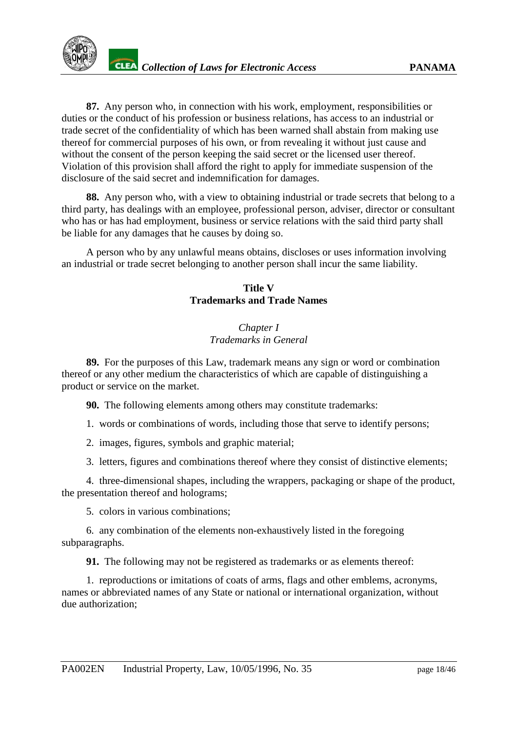<span id="page-17-0"></span>**87.** Any person who, in connection with his work, employment, responsibilities or duties or the conduct of his profession or business relations, has access to an industrial or trade secret of the confidentiality of which has been warned shall abstain from making use thereof for commercial purposes of his own, or from revealing it without just cause and without the consent of the person keeping the said secret or the licensed user thereof. Violation of this provision shall afford the right to apply for immediate suspension of the disclosure of the said secret and indemnification for damages.

**88.** Any person who, with a view to obtaining industrial or trade secrets that belong to a third party, has dealings with an employee, professional person, adviser, director or consultant who has or has had employment, business or service relations with the said third party shall be liable for any damages that he causes by doing so.

A person who by any unlawful means obtains, discloses or uses information involving an industrial or trade secret belonging to another person shall incur the same liability.

## **Title V Trademarks and Trade Names**

## *Chapter I Trademarks in General*

**89.** For the purposes of this Law, trademark means any sign or word or combination thereof or any other medium the characteristics of which are capable of distinguishing a product or service on the market.

**90.** The following elements among others may constitute trademarks:

1. words or combinations of words, including those that serve to identify persons;

2. images, figures, symbols and graphic material;

3. letters, figures and combinations thereof where they consist of distinctive elements;

4. three-dimensional shapes, including the wrappers, packaging or shape of the product, the presentation thereof and holograms;

5. colors in various combinations;

6. any combination of the elements non-exhaustively listed in the foregoing subparagraphs.

**91.** The following may not be registered as trademarks or as elements thereof:

1. reproductions or imitations of coats of arms, flags and other emblems, acronyms, names or abbreviated names of any State or national or international organization, without due authorization;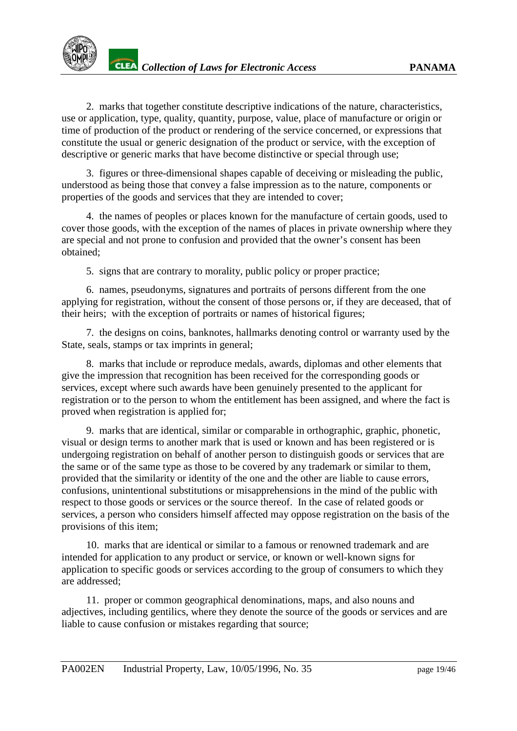2. marks that together constitute descriptive indications of the nature, characteristics, use or application, type, quality, quantity, purpose, value, place of manufacture or origin or time of production of the product or rendering of the service concerned, or expressions that constitute the usual or generic designation of the product or service, with the exception of descriptive or generic marks that have become distinctive or special through use;

3. figures or three-dimensional shapes capable of deceiving or misleading the public, understood as being those that convey a false impression as to the nature, components or properties of the goods and services that they are intended to cover;

4. the names of peoples or places known for the manufacture of certain goods, used to cover those goods, with the exception of the names of places in private ownership where they are special and not prone to confusion and provided that the owner's consent has been obtained;

5. signs that are contrary to morality, public policy or proper practice;

6. names, pseudonyms, signatures and portraits of persons different from the one applying for registration, without the consent of those persons or, if they are deceased, that of their heirs; with the exception of portraits or names of historical figures;

7. the designs on coins, banknotes, hallmarks denoting control or warranty used by the State, seals, stamps or tax imprints in general;

8. marks that include or reproduce medals, awards, diplomas and other elements that give the impression that recognition has been received for the corresponding goods or services, except where such awards have been genuinely presented to the applicant for registration or to the person to whom the entitlement has been assigned, and where the fact is proved when registration is applied for;

9. marks that are identical, similar or comparable in orthographic, graphic, phonetic, visual or design terms to another mark that is used or known and has been registered or is undergoing registration on behalf of another person to distinguish goods or services that are the same or of the same type as those to be covered by any trademark or similar to them, provided that the similarity or identity of the one and the other are liable to cause errors, confusions, unintentional substitutions or misapprehensions in the mind of the public with respect to those goods or services or the source thereof. In the case of related goods or services, a person who considers himself affected may oppose registration on the basis of the provisions of this item;

10. marks that are identical or similar to a famous or renowned trademark and are intended for application to any product or service, or known or well-known signs for application to specific goods or services according to the group of consumers to which they are addressed;

11. proper or common geographical denominations, maps, and also nouns and adjectives, including gentilics, where they denote the source of the goods or services and are liable to cause confusion or mistakes regarding that source;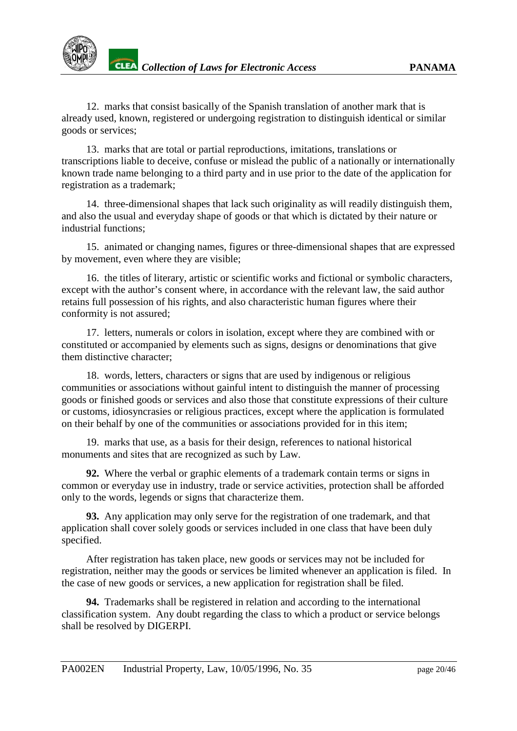12. marks that consist basically of the Spanish translation of another mark that is already used, known, registered or undergoing registration to distinguish identical or similar goods or services;

13. marks that are total or partial reproductions, imitations, translations or transcriptions liable to deceive, confuse or mislead the public of a nationally or internationally known trade name belonging to a third party and in use prior to the date of the application for registration as a trademark;

14. three-dimensional shapes that lack such originality as will readily distinguish them, and also the usual and everyday shape of goods or that which is dictated by their nature or industrial functions;

15. animated or changing names, figures or three-dimensional shapes that are expressed by movement, even where they are visible;

16. the titles of literary, artistic or scientific works and fictional or symbolic characters, except with the author's consent where, in accordance with the relevant law, the said author retains full possession of his rights, and also characteristic human figures where their conformity is not assured;

17. letters, numerals or colors in isolation, except where they are combined with or constituted or accompanied by elements such as signs, designs or denominations that give them distinctive character;

18. words, letters, characters or signs that are used by indigenous or religious communities or associations without gainful intent to distinguish the manner of processing goods or finished goods or services and also those that constitute expressions of their culture or customs, idiosyncrasies or religious practices, except where the application is formulated on their behalf by one of the communities or associations provided for in this item;

19. marks that use, as a basis for their design, references to national historical monuments and sites that are recognized as such by Law.

**92.** Where the verbal or graphic elements of a trademark contain terms or signs in common or everyday use in industry, trade or service activities, protection shall be afforded only to the words, legends or signs that characterize them.

**93.** Any application may only serve for the registration of one trademark, and that application shall cover solely goods or services included in one class that have been duly specified.

After registration has taken place, new goods or services may not be included for registration, neither may the goods or services be limited whenever an application is filed. In the case of new goods or services, a new application for registration shall be filed.

**94.** Trademarks shall be registered in relation and according to the international classification system. Any doubt regarding the class to which a product or service belongs shall be resolved by DIGERPI.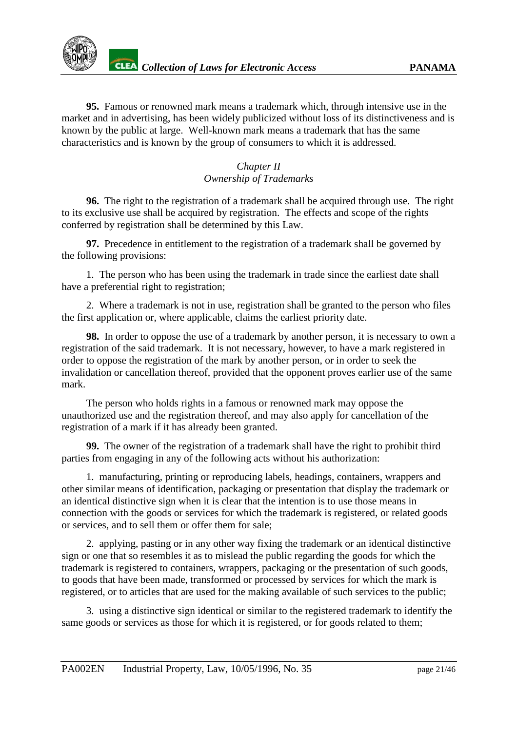<span id="page-20-0"></span>

**95.** Famous or renowned mark means a trademark which, through intensive use in the market and in advertising, has been widely publicized without loss of its distinctiveness and is known by the public at large. Well-known mark means a trademark that has the same characteristics and is known by the group of consumers to which it is addressed.

## *Chapter II Ownership of Trademarks*

**96.** The right to the registration of a trademark shall be acquired through use. The right to its exclusive use shall be acquired by registration. The effects and scope of the rights conferred by registration shall be determined by this Law.

**97.** Precedence in entitlement to the registration of a trademark shall be governed by the following provisions:

1. The person who has been using the trademark in trade since the earliest date shall have a preferential right to registration;

2. Where a trademark is not in use, registration shall be granted to the person who files the first application or, where applicable, claims the earliest priority date.

**98.** In order to oppose the use of a trademark by another person, it is necessary to own a registration of the said trademark. It is not necessary, however, to have a mark registered in order to oppose the registration of the mark by another person, or in order to seek the invalidation or cancellation thereof, provided that the opponent proves earlier use of the same mark.

The person who holds rights in a famous or renowned mark may oppose the unauthorized use and the registration thereof, and may also apply for cancellation of the registration of a mark if it has already been granted.

**99.** The owner of the registration of a trademark shall have the right to prohibit third parties from engaging in any of the following acts without his authorization:

1. manufacturing, printing or reproducing labels, headings, containers, wrappers and other similar means of identification, packaging or presentation that display the trademark or an identical distinctive sign when it is clear that the intention is to use those means in connection with the goods or services for which the trademark is registered, or related goods or services, and to sell them or offer them for sale;

2. applying, pasting or in any other way fixing the trademark or an identical distinctive sign or one that so resembles it as to mislead the public regarding the goods for which the trademark is registered to containers, wrappers, packaging or the presentation of such goods, to goods that have been made, transformed or processed by services for which the mark is registered, or to articles that are used for the making available of such services to the public;

3. using a distinctive sign identical or similar to the registered trademark to identify the same goods or services as those for which it is registered, or for goods related to them;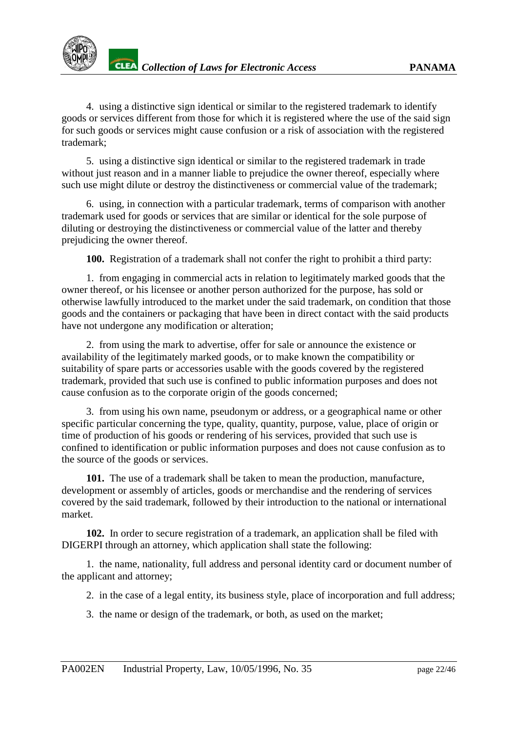4. using a distinctive sign identical or similar to the registered trademark to identify goods or services different from those for which it is registered where the use of the said sign for such goods or services might cause confusion or a risk of association with the registered trademark;

5. using a distinctive sign identical or similar to the registered trademark in trade without just reason and in a manner liable to prejudice the owner thereof, especially where such use might dilute or destroy the distinctiveness or commercial value of the trademark;

6. using, in connection with a particular trademark, terms of comparison with another trademark used for goods or services that are similar or identical for the sole purpose of diluting or destroying the distinctiveness or commercial value of the latter and thereby prejudicing the owner thereof.

**100.** Registration of a trademark shall not confer the right to prohibit a third party:

1. from engaging in commercial acts in relation to legitimately marked goods that the owner thereof, or his licensee or another person authorized for the purpose, has sold or otherwise lawfully introduced to the market under the said trademark, on condition that those goods and the containers or packaging that have been in direct contact with the said products have not undergone any modification or alteration;

2. from using the mark to advertise, offer for sale or announce the existence or availability of the legitimately marked goods, or to make known the compatibility or suitability of spare parts or accessories usable with the goods covered by the registered trademark, provided that such use is confined to public information purposes and does not cause confusion as to the corporate origin of the goods concerned;

3. from using his own name, pseudonym or address, or a geographical name or other specific particular concerning the type, quality, quantity, purpose, value, place of origin or time of production of his goods or rendering of his services, provided that such use is confined to identification or public information purposes and does not cause confusion as to the source of the goods or services.

**101.** The use of a trademark shall be taken to mean the production, manufacture, development or assembly of articles, goods or merchandise and the rendering of services covered by the said trademark, followed by their introduction to the national or international market.

**102.** In order to secure registration of a trademark, an application shall be filed with DIGERPI through an attorney, which application shall state the following:

1. the name, nationality, full address and personal identity card or document number of the applicant and attorney;

2. in the case of a legal entity, its business style, place of incorporation and full address;

3. the name or design of the trademark, or both, as used on the market;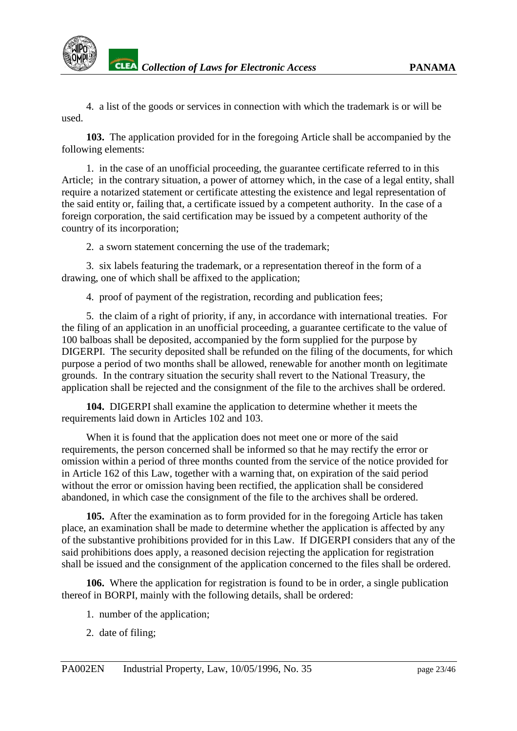

4. a list of the goods or services in connection with which the trademark is or will be used.

**103.** The application provided for in the foregoing Article shall be accompanied by the following elements:

1. in the case of an unofficial proceeding, the guarantee certificate referred to in this Article; in the contrary situation, a power of attorney which, in the case of a legal entity, shall require a notarized statement or certificate attesting the existence and legal representation of the said entity or, failing that, a certificate issued by a competent authority. In the case of a foreign corporation, the said certification may be issued by a competent authority of the country of its incorporation;

2. a sworn statement concerning the use of the trademark;

3. six labels featuring the trademark, or a representation thereof in the form of a drawing, one of which shall be affixed to the application;

4. proof of payment of the registration, recording and publication fees;

5. the claim of a right of priority, if any, in accordance with international treaties. For the filing of an application in an unofficial proceeding, a guarantee certificate to the value of 100 balboas shall be deposited, accompanied by the form supplied for the purpose by DIGERPI. The security deposited shall be refunded on the filing of the documents, for which purpose a period of two months shall be allowed, renewable for another month on legitimate grounds. In the contrary situation the security shall revert to the National Treasury, the application shall be rejected and the consignment of the file to the archives shall be ordered.

**104.** DIGERPI shall examine the application to determine whether it meets the requirements laid down in Articles 102 and 103.

When it is found that the application does not meet one or more of the said requirements, the person concerned shall be informed so that he may rectify the error or omission within a period of three months counted from the service of the notice provided for in Article 162 of this Law, together with a warning that, on expiration of the said period without the error or omission having been rectified, the application shall be considered abandoned, in which case the consignment of the file to the archives shall be ordered.

**105.** After the examination as to form provided for in the foregoing Article has taken place, an examination shall be made to determine whether the application is affected by any of the substantive prohibitions provided for in this Law. If DIGERPI considers that any of the said prohibitions does apply, a reasoned decision rejecting the application for registration shall be issued and the consignment of the application concerned to the files shall be ordered.

**106.** Where the application for registration is found to be in order, a single publication thereof in BORPI, mainly with the following details, shall be ordered:

- 1. number of the application;
- 2. date of filing;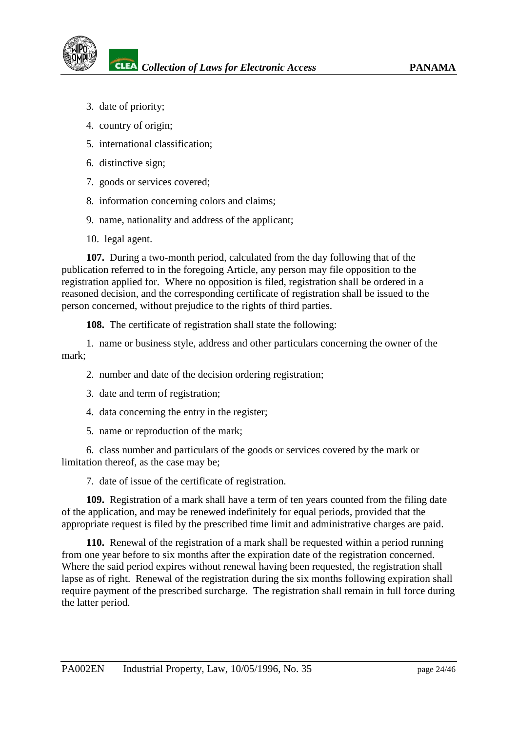

- 3. date of priority;
- 4. country of origin;
- 5. international classification;
- 6. distinctive sign;
- 7. goods or services covered;
- 8. information concerning colors and claims;
- 9. name, nationality and address of the applicant;
- 10. legal agent.

**107.** During a two-month period, calculated from the day following that of the publication referred to in the foregoing Article, any person may file opposition to the registration applied for. Where no opposition is filed, registration shall be ordered in a reasoned decision, and the corresponding certificate of registration shall be issued to the person concerned, without prejudice to the rights of third parties.

**108.** The certificate of registration shall state the following:

1. name or business style, address and other particulars concerning the owner of the mark;

- 2. number and date of the decision ordering registration;
- 3. date and term of registration;
- 4. data concerning the entry in the register;
- 5. name or reproduction of the mark;

6. class number and particulars of the goods or services covered by the mark or limitation thereof, as the case may be;

7. date of issue of the certificate of registration.

**109.** Registration of a mark shall have a term of ten years counted from the filing date of the application, and may be renewed indefinitely for equal periods, provided that the appropriate request is filed by the prescribed time limit and administrative charges are paid.

**110.** Renewal of the registration of a mark shall be requested within a period running from one year before to six months after the expiration date of the registration concerned. Where the said period expires without renewal having been requested, the registration shall lapse as of right. Renewal of the registration during the six months following expiration shall require payment of the prescribed surcharge. The registration shall remain in full force during the latter period.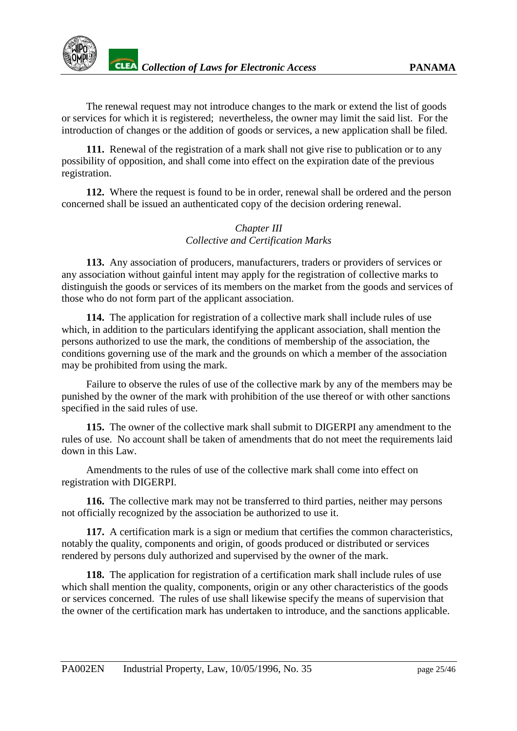<span id="page-24-0"></span>

The renewal request may not introduce changes to the mark or extend the list of goods or services for which it is registered; nevertheless, the owner may limit the said list. For the introduction of changes or the addition of goods or services, a new application shall be filed.

**111.** Renewal of the registration of a mark shall not give rise to publication or to any possibility of opposition, and shall come into effect on the expiration date of the previous registration.

**112.** Where the request is found to be in order, renewal shall be ordered and the person concerned shall be issued an authenticated copy of the decision ordering renewal.

## *Chapter III Collective and Certification Marks*

**113.** Any association of producers, manufacturers, traders or providers of services or any association without gainful intent may apply for the registration of collective marks to distinguish the goods or services of its members on the market from the goods and services of those who do not form part of the applicant association.

**114.** The application for registration of a collective mark shall include rules of use which, in addition to the particulars identifying the applicant association, shall mention the persons authorized to use the mark, the conditions of membership of the association, the conditions governing use of the mark and the grounds on which a member of the association may be prohibited from using the mark.

Failure to observe the rules of use of the collective mark by any of the members may be punished by the owner of the mark with prohibition of the use thereof or with other sanctions specified in the said rules of use.

**115.** The owner of the collective mark shall submit to DIGERPI any amendment to the rules of use. No account shall be taken of amendments that do not meet the requirements laid down in this Law.

Amendments to the rules of use of the collective mark shall come into effect on registration with DIGERPI.

**116.** The collective mark may not be transferred to third parties, neither may persons not officially recognized by the association be authorized to use it.

**117.** A certification mark is a sign or medium that certifies the common characteristics, notably the quality, components and origin, of goods produced or distributed or services rendered by persons duly authorized and supervised by the owner of the mark.

**118.** The application for registration of a certification mark shall include rules of use which shall mention the quality, components, origin or any other characteristics of the goods or services concerned. The rules of use shall likewise specify the means of supervision that the owner of the certification mark has undertaken to introduce, and the sanctions applicable.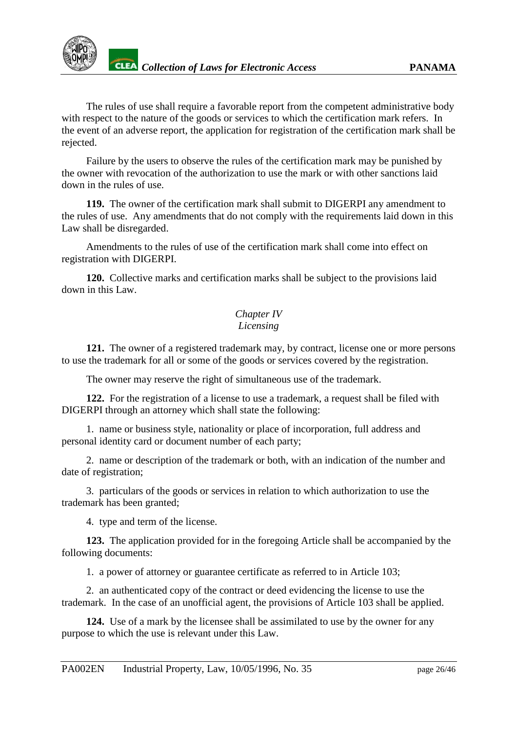<span id="page-25-0"></span>

The rules of use shall require a favorable report from the competent administrative body with respect to the nature of the goods or services to which the certification mark refers. In the event of an adverse report, the application for registration of the certification mark shall be rejected.

Failure by the users to observe the rules of the certification mark may be punished by the owner with revocation of the authorization to use the mark or with other sanctions laid down in the rules of use.

**119.** The owner of the certification mark shall submit to DIGERPI any amendment to the rules of use. Any amendments that do not comply with the requirements laid down in this Law shall be disregarded.

Amendments to the rules of use of the certification mark shall come into effect on registration with DIGERPI.

**120.** Collective marks and certification marks shall be subject to the provisions laid down in this Law.

## *Chapter IV Licensing*

**121.** The owner of a registered trademark may, by contract, license one or more persons to use the trademark for all or some of the goods or services covered by the registration.

The owner may reserve the right of simultaneous use of the trademark.

**122.** For the registration of a license to use a trademark, a request shall be filed with DIGERPI through an attorney which shall state the following:

1. name or business style, nationality or place of incorporation, full address and personal identity card or document number of each party;

2. name or description of the trademark or both, with an indication of the number and date of registration;

3. particulars of the goods or services in relation to which authorization to use the trademark has been granted;

4. type and term of the license.

**123.** The application provided for in the foregoing Article shall be accompanied by the following documents:

1. a power of attorney or guarantee certificate as referred to in Article 103;

2. an authenticated copy of the contract or deed evidencing the license to use the trademark. In the case of an unofficial agent, the provisions of Article 103 shall be applied.

**124.** Use of a mark by the licensee shall be assimilated to use by the owner for any purpose to which the use is relevant under this Law.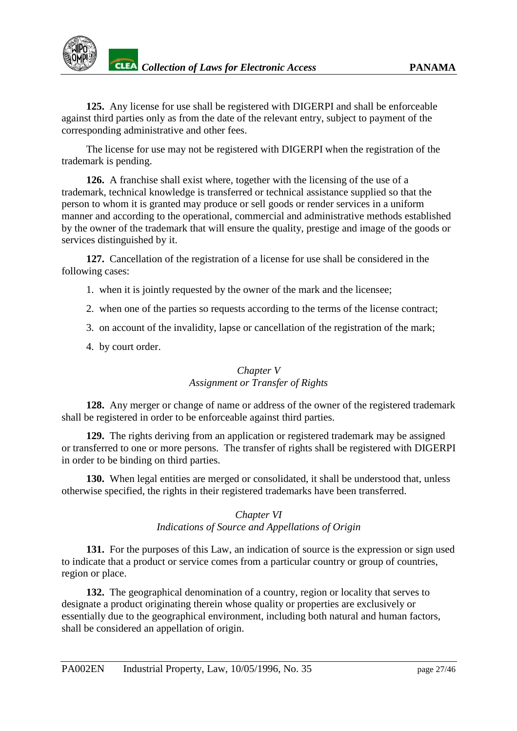<span id="page-26-0"></span>

**125.** Any license for use shall be registered with DIGERPI and shall be enforceable against third parties only as from the date of the relevant entry, subject to payment of the corresponding administrative and other fees.

The license for use may not be registered with DIGERPI when the registration of the trademark is pending.

**126.** A franchise shall exist where, together with the licensing of the use of a trademark, technical knowledge is transferred or technical assistance supplied so that the person to whom it is granted may produce or sell goods or render services in a uniform manner and according to the operational, commercial and administrative methods established by the owner of the trademark that will ensure the quality, prestige and image of the goods or services distinguished by it.

**127.** Cancellation of the registration of a license for use shall be considered in the following cases:

- 1. when it is jointly requested by the owner of the mark and the licensee;
- 2. when one of the parties so requests according to the terms of the license contract;
- 3. on account of the invalidity, lapse or cancellation of the registration of the mark;
- 4. by court order.

## *Chapter V Assignment or Transfer of Rights*

**128.** Any merger or change of name or address of the owner of the registered trademark shall be registered in order to be enforceable against third parties.

**129.** The rights deriving from an application or registered trademark may be assigned or transferred to one or more persons. The transfer of rights shall be registered with DIGERPI in order to be binding on third parties.

**130.** When legal entities are merged or consolidated, it shall be understood that, unless otherwise specified, the rights in their registered trademarks have been transferred.

## *Chapter VI Indications of Source and Appellations of Origin*

**131.** For the purposes of this Law, an indication of source is the expression or sign used to indicate that a product or service comes from a particular country or group of countries, region or place.

**132.** The geographical denomination of a country, region or locality that serves to designate a product originating therein whose quality or properties are exclusively or essentially due to the geographical environment, including both natural and human factors, shall be considered an appellation of origin.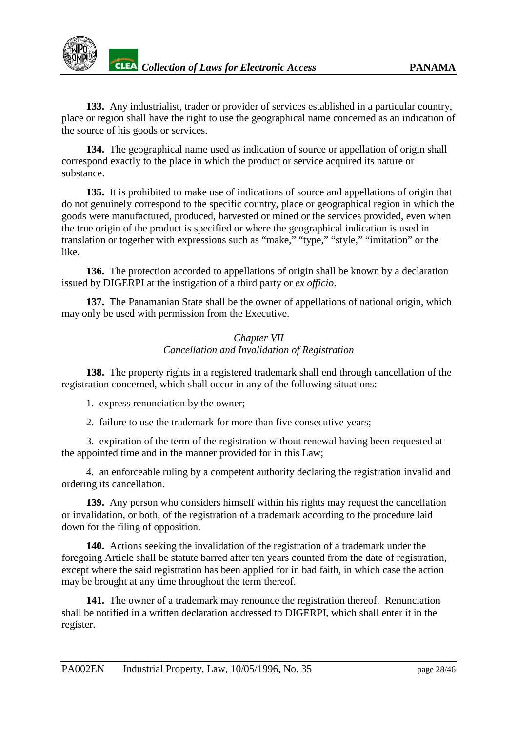<span id="page-27-0"></span>

**133.** Any industrialist, trader or provider of services established in a particular country, place or region shall have the right to use the geographical name concerned as an indication of the source of his goods or services.

**134.** The geographical name used as indication of source or appellation of origin shall correspond exactly to the place in which the product or service acquired its nature or substance.

**135.** It is prohibited to make use of indications of source and appellations of origin that do not genuinely correspond to the specific country, place or geographical region in which the goods were manufactured, produced, harvested or mined or the services provided, even when the true origin of the product is specified or where the geographical indication is used in translation or together with expressions such as "make," "type," "style," "imitation" or the like.

**136.** The protection accorded to appellations of origin shall be known by a declaration issued by DIGERPI at the instigation of a third party or *ex officio*.

**137.** The Panamanian State shall be the owner of appellations of national origin, which may only be used with permission from the Executive.

## *Chapter VII Cancellation and Invalidation of Registration*

**138.** The property rights in a registered trademark shall end through cancellation of the registration concerned, which shall occur in any of the following situations:

1. express renunciation by the owner;

2. failure to use the trademark for more than five consecutive years;

3. expiration of the term of the registration without renewal having been requested at the appointed time and in the manner provided for in this Law;

4. an enforceable ruling by a competent authority declaring the registration invalid and ordering its cancellation.

**139.** Any person who considers himself within his rights may request the cancellation or invalidation, or both, of the registration of a trademark according to the procedure laid down for the filing of opposition.

**140.** Actions seeking the invalidation of the registration of a trademark under the foregoing Article shall be statute barred after ten years counted from the date of registration, except where the said registration has been applied for in bad faith, in which case the action may be brought at any time throughout the term thereof.

**141.** The owner of a trademark may renounce the registration thereof. Renunciation shall be notified in a written declaration addressed to DIGERPI, which shall enter it in the register.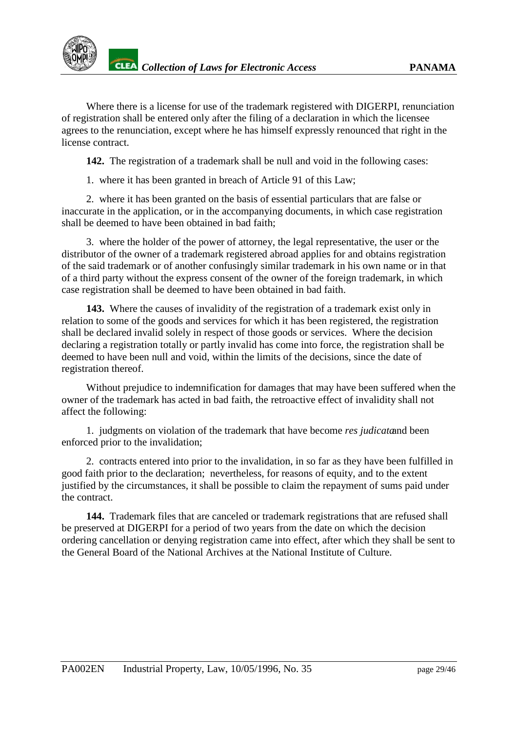

Where there is a license for use of the trademark registered with DIGERPI, renunciation of registration shall be entered only after the filing of a declaration in which the licensee agrees to the renunciation, except where he has himself expressly renounced that right in the license contract.

**142.** The registration of a trademark shall be null and void in the following cases:

1. where it has been granted in breach of Article 91 of this Law;

2. where it has been granted on the basis of essential particulars that are false or inaccurate in the application, or in the accompanying documents, in which case registration shall be deemed to have been obtained in bad faith;

3. where the holder of the power of attorney, the legal representative, the user or the distributor of the owner of a trademark registered abroad applies for and obtains registration of the said trademark or of another confusingly similar trademark in his own name or in that of a third party without the express consent of the owner of the foreign trademark, in which case registration shall be deemed to have been obtained in bad faith.

**143.** Where the causes of invalidity of the registration of a trademark exist only in relation to some of the goods and services for which it has been registered, the registration shall be declared invalid solely in respect of those goods or services. Where the decision declaring a registration totally or partly invalid has come into force, the registration shall be deemed to have been null and void, within the limits of the decisions, since the date of registration thereof.

Without prejudice to indemnification for damages that may have been suffered when the owner of the trademark has acted in bad faith, the retroactive effect of invalidity shall not affect the following:

1. judgments on violation of the trademark that have become *res judicata* and been enforced prior to the invalidation;

2. contracts entered into prior to the invalidation, in so far as they have been fulfilled in good faith prior to the declaration; nevertheless, for reasons of equity, and to the extent justified by the circumstances, it shall be possible to claim the repayment of sums paid under the contract.

**144.** Trademark files that are canceled or trademark registrations that are refused shall be preserved at DIGERPI for a period of two years from the date on which the decision ordering cancellation or denying registration came into effect, after which they shall be sent to the General Board of the National Archives at the National Institute of Culture.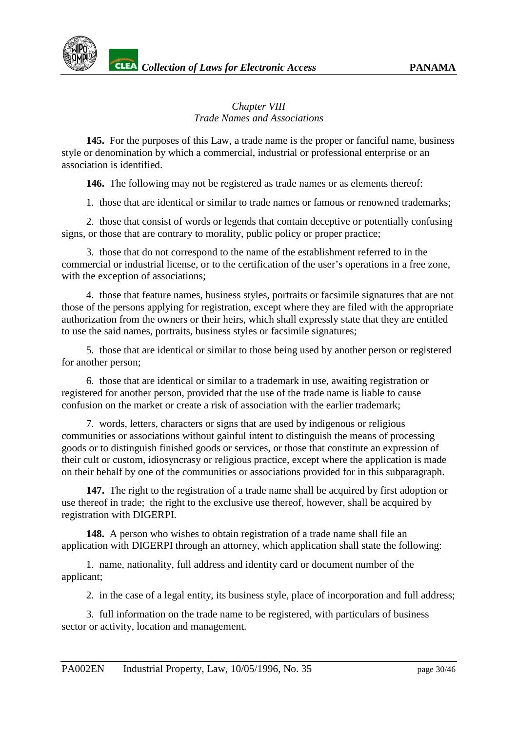## *Chapter VIII Trade Names and Associations*

<span id="page-29-0"></span>**145.** For the purposes of this Law, a trade name is the proper or fanciful name, business style or denomination by which a commercial, industrial or professional enterprise or an association is identified.

**146.** The following may not be registered as trade names or as elements thereof:

1. those that are identical or similar to trade names or famous or renowned trademarks;

2. those that consist of words or legends that contain deceptive or potentially confusing signs, or those that are contrary to morality, public policy or proper practice;

3. those that do not correspond to the name of the establishment referred to in the commercial or industrial license, or to the certification of the user's operations in a free zone, with the exception of associations;

4. those that feature names, business styles, portraits or facsimile signatures that are not those of the persons applying for registration, except where they are filed with the appropriate authorization from the owners or their heirs, which shall expressly state that they are entitled to use the said names, portraits, business styles or facsimile signatures;

5. those that are identical or similar to those being used by another person or registered for another person;

6. those that are identical or similar to a trademark in use, awaiting registration or registered for another person, provided that the use of the trade name is liable to cause confusion on the market or create a risk of association with the earlier trademark;

7. words, letters, characters or signs that are used by indigenous or religious communities or associations without gainful intent to distinguish the means of processing goods or to distinguish finished goods or services, or those that constitute an expression of their cult or custom, idiosyncrasy or religious practice, except where the application is made on their behalf by one of the communities or associations provided for in this subparagraph.

**147.** The right to the registration of a trade name shall be acquired by first adoption or use thereof in trade; the right to the exclusive use thereof, however, shall be acquired by registration with DIGERPI.

**148.** A person who wishes to obtain registration of a trade name shall file an application with DIGERPI through an attorney, which application shall state the following:

1. name, nationality, full address and identity card or document number of the applicant;

2. in the case of a legal entity, its business style, place of incorporation and full address;

3. full information on the trade name to be registered, with particulars of business sector or activity, location and management.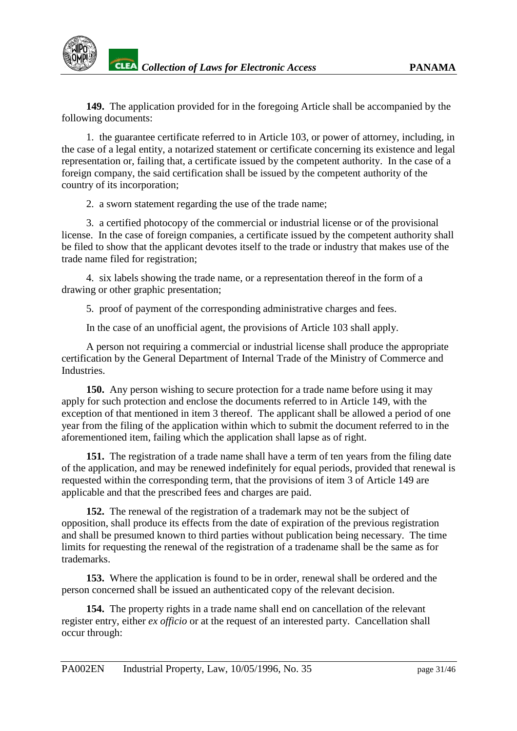

**149.** The application provided for in the foregoing Article shall be accompanied by the following documents:

1. the guarantee certificate referred to in Article 103, or power of attorney, including, in the case of a legal entity, a notarized statement or certificate concerning its existence and legal representation or, failing that, a certificate issued by the competent authority. In the case of a foreign company, the said certification shall be issued by the competent authority of the country of its incorporation;

2. a sworn statement regarding the use of the trade name;

3. a certified photocopy of the commercial or industrial license or of the provisional license. In the case of foreign companies, a certificate issued by the competent authority shall be filed to show that the applicant devotes itself to the trade or industry that makes use of the trade name filed for registration;

4. six labels showing the trade name, or a representation thereof in the form of a drawing or other graphic presentation;

5. proof of payment of the corresponding administrative charges and fees.

In the case of an unofficial agent, the provisions of Article 103 shall apply.

A person not requiring a commercial or industrial license shall produce the appropriate certification by the General Department of Internal Trade of the Ministry of Commerce and Industries.

**150.** Any person wishing to secure protection for a trade name before using it may apply for such protection and enclose the documents referred to in Article 149, with the exception of that mentioned in item 3 thereof. The applicant shall be allowed a period of one year from the filing of the application within which to submit the document referred to in the aforementioned item, failing which the application shall lapse as of right.

**151.** The registration of a trade name shall have a term of ten years from the filing date of the application, and may be renewed indefinitely for equal periods, provided that renewal is requested within the corresponding term, that the provisions of item 3 of Article 149 are applicable and that the prescribed fees and charges are paid.

**152.** The renewal of the registration of a trademark may not be the subject of opposition, shall produce its effects from the date of expiration of the previous registration and shall be presumed known to third parties without publication being necessary. The time limits for requesting the renewal of the registration of a tradename shall be the same as for trademarks.

**153.** Where the application is found to be in order, renewal shall be ordered and the person concerned shall be issued an authenticated copy of the relevant decision.

**154.** The property rights in a trade name shall end on cancellation of the relevant register entry, either *ex officio* or at the request of an interested party. Cancellation shall occur through: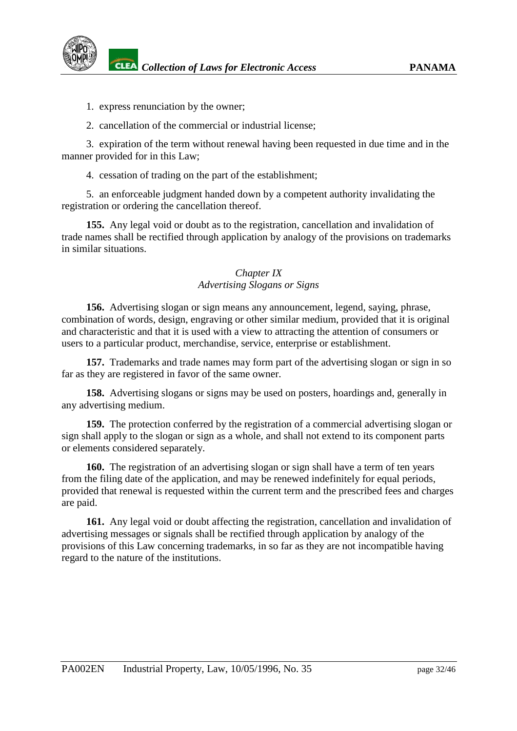<span id="page-31-0"></span>

1. express renunciation by the owner;

2. cancellation of the commercial or industrial license;

3. expiration of the term without renewal having been requested in due time and in the manner provided for in this Law;

4. cessation of trading on the part of the establishment;

5. an enforceable judgment handed down by a competent authority invalidating the registration or ordering the cancellation thereof.

**155.** Any legal void or doubt as to the registration, cancellation and invalidation of trade names shall be rectified through application by analogy of the provisions on trademarks in similar situations.

# *Chapter IX Advertising Slogans or Signs*

**156.** Advertising slogan or sign means any announcement, legend, saying, phrase, combination of words, design, engraving or other similar medium, provided that it is original and characteristic and that it is used with a view to attracting the attention of consumers or users to a particular product, merchandise, service, enterprise or establishment.

**157.** Trademarks and trade names may form part of the advertising slogan or sign in so far as they are registered in favor of the same owner.

**158.** Advertising slogans or signs may be used on posters, hoardings and, generally in any advertising medium.

**159.** The protection conferred by the registration of a commercial advertising slogan or sign shall apply to the slogan or sign as a whole, and shall not extend to its component parts or elements considered separately.

**160.** The registration of an advertising slogan or sign shall have a term of ten years from the filing date of the application, and may be renewed indefinitely for equal periods, provided that renewal is requested within the current term and the prescribed fees and charges are paid.

**161.** Any legal void or doubt affecting the registration, cancellation and invalidation of advertising messages or signals shall be rectified through application by analogy of the provisions of this Law concerning trademarks, in so far as they are not incompatible having regard to the nature of the institutions.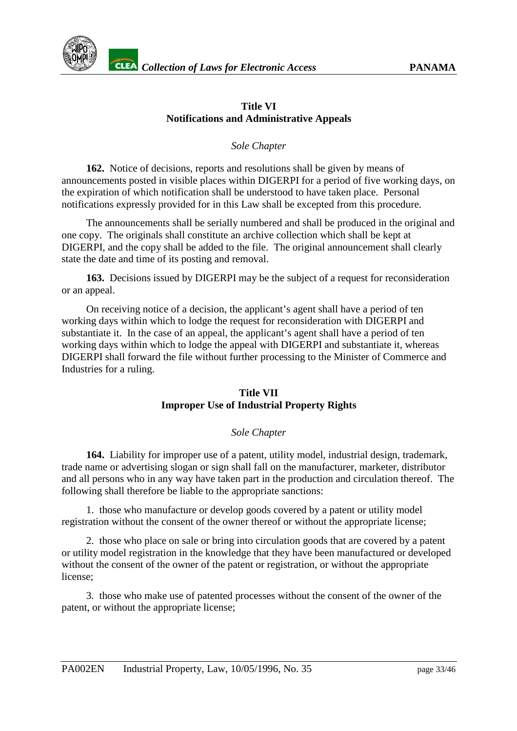# **Title VI Notifications and Administrative Appeals**

*Sole Chapter*

<span id="page-32-0"></span>**162.** Notice of decisions, reports and resolutions shall be given by means of announcements posted in visible places within DIGERPI for a period of five working days, on the expiration of which notification shall be understood to have taken place. Personal notifications expressly provided for in this Law shall be excepted from this procedure.

The announcements shall be serially numbered and shall be produced in the original and one copy. The originals shall constitute an archive collection which shall be kept at DIGERPI, and the copy shall be added to the file. The original announcement shall clearly state the date and time of its posting and removal.

**163.** Decisions issued by DIGERPI may be the subject of a request for reconsideration or an appeal.

On receiving notice of a decision, the applicant's agent shall have a period of ten working days within which to lodge the request for reconsideration with DIGERPI and substantiate it. In the case of an appeal, the applicant's agent shall have a period of ten working days within which to lodge the appeal with DIGERPI and substantiate it, whereas DIGERPI shall forward the file without further processing to the Minister of Commerce and Industries for a ruling.

# **Title VII Improper Use of Industrial Property Rights**

# *Sole Chapter*

**164.** Liability for improper use of a patent, utility model, industrial design, trademark, trade name or advertising slogan or sign shall fall on the manufacturer, marketer, distributor and all persons who in any way have taken part in the production and circulation thereof. The following shall therefore be liable to the appropriate sanctions:

1. those who manufacture or develop goods covered by a patent or utility model registration without the consent of the owner thereof or without the appropriate license;

2. those who place on sale or bring into circulation goods that are covered by a patent or utility model registration in the knowledge that they have been manufactured or developed without the consent of the owner of the patent or registration, or without the appropriate license;

3. those who make use of patented processes without the consent of the owner of the patent, or without the appropriate license;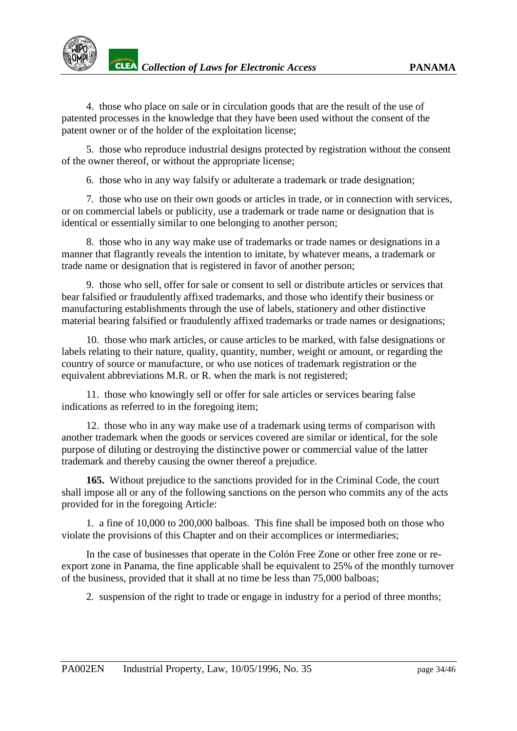4. those who place on sale or in circulation goods that are the result of the use of patented processes in the knowledge that they have been used without the consent of the patent owner or of the holder of the exploitation license;

5. those who reproduce industrial designs protected by registration without the consent of the owner thereof, or without the appropriate license;

6. those who in any way falsify or adulterate a trademark or trade designation;

7. those who use on their own goods or articles in trade, or in connection with services, or on commercial labels or publicity, use a trademark or trade name or designation that is identical or essentially similar to one belonging to another person;

8. those who in any way make use of trademarks or trade names or designations in a manner that flagrantly reveals the intention to imitate, by whatever means, a trademark or trade name or designation that is registered in favor of another person;

9. those who sell, offer for sale or consent to sell or distribute articles or services that bear falsified or fraudulently affixed trademarks, and those who identify their business or manufacturing establishments through the use of labels, stationery and other distinctive material bearing falsified or fraudulently affixed trademarks or trade names or designations;

10. those who mark articles, or cause articles to be marked, with false designations or labels relating to their nature, quality, quantity, number, weight or amount, or regarding the country of source or manufacture, or who use notices of trademark registration or the equivalent abbreviations M.R. or R. when the mark is not registered;

11. those who knowingly sell or offer for sale articles or services bearing false indications as referred to in the foregoing item;

12. those who in any way make use of a trademark using terms of comparison with another trademark when the goods or services covered are similar or identical, for the sole purpose of diluting or destroying the distinctive power or commercial value of the latter trademark and thereby causing the owner thereof a prejudice.

**165.** Without prejudice to the sanctions provided for in the Criminal Code, the court shall impose all or any of the following sanctions on the person who commits any of the acts provided for in the foregoing Article:

1. a fine of 10,000 to 200,000 balboas. This fine shall be imposed both on those who violate the provisions of this Chapter and on their accomplices or intermediaries;

In the case of businesses that operate in the Colón Free Zone or other free zone or reexport zone in Panama, the fine applicable shall be equivalent to 25% of the monthly turnover of the business, provided that it shall at no time be less than 75,000 balboas;

2. suspension of the right to trade or engage in industry for a period of three months;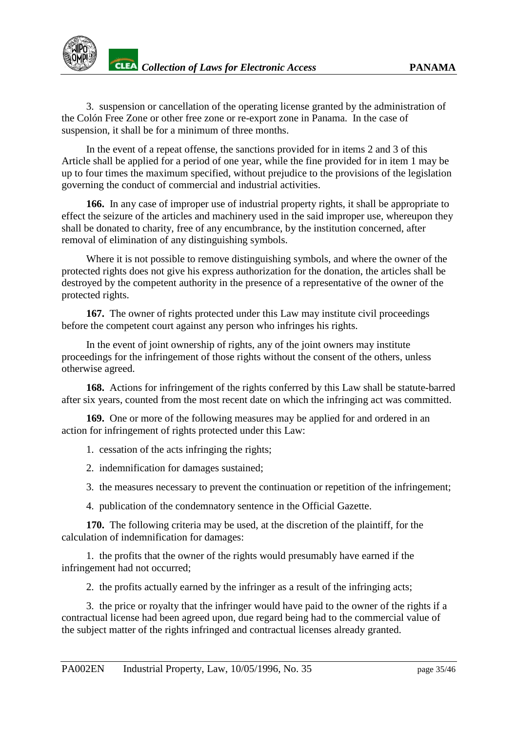3. suspension or cancellation of the operating license granted by the administration of the Colón Free Zone or other free zone or re-export zone in Panama. In the case of suspension, it shall be for a minimum of three months.

In the event of a repeat offense, the sanctions provided for in items 2 and 3 of this Article shall be applied for a period of one year, while the fine provided for in item 1 may be up to four times the maximum specified, without prejudice to the provisions of the legislation governing the conduct of commercial and industrial activities.

**166.** In any case of improper use of industrial property rights, it shall be appropriate to effect the seizure of the articles and machinery used in the said improper use, whereupon they shall be donated to charity, free of any encumbrance, by the institution concerned, after removal of elimination of any distinguishing symbols.

Where it is not possible to remove distinguishing symbols, and where the owner of the protected rights does not give his express authorization for the donation, the articles shall be destroyed by the competent authority in the presence of a representative of the owner of the protected rights.

**167.** The owner of rights protected under this Law may institute civil proceedings before the competent court against any person who infringes his rights.

In the event of joint ownership of rights, any of the joint owners may institute proceedings for the infringement of those rights without the consent of the others, unless otherwise agreed.

**168.** Actions for infringement of the rights conferred by this Law shall be statute-barred after six years, counted from the most recent date on which the infringing act was committed.

**169.** One or more of the following measures may be applied for and ordered in an action for infringement of rights protected under this Law:

1. cessation of the acts infringing the rights;

2. indemnification for damages sustained;

3. the measures necessary to prevent the continuation or repetition of the infringement;

4. publication of the condemnatory sentence in the Official Gazette.

**170.** The following criteria may be used, at the discretion of the plaintiff, for the calculation of indemnification for damages:

1. the profits that the owner of the rights would presumably have earned if the infringement had not occurred;

2. the profits actually earned by the infringer as a result of the infringing acts;

3. the price or royalty that the infringer would have paid to the owner of the rights if a contractual license had been agreed upon, due regard being had to the commercial value of the subject matter of the rights infringed and contractual licenses already granted.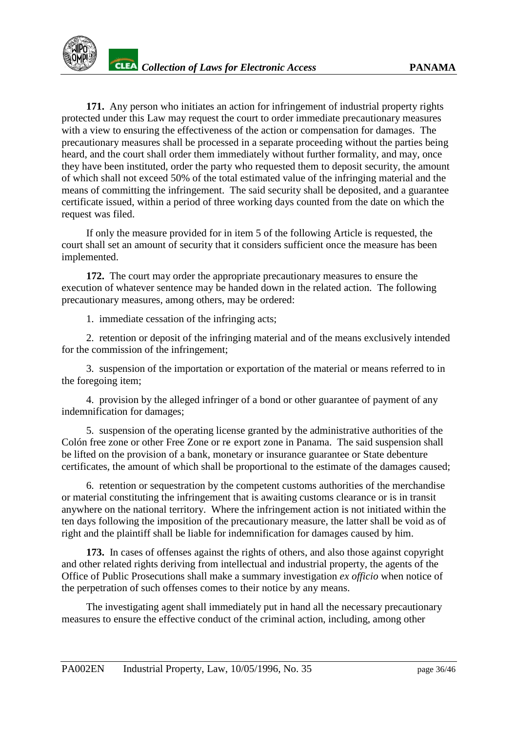**171.** Any person who initiates an action for infringement of industrial property rights protected under this Law may request the court to order immediate precautionary measures with a view to ensuring the effectiveness of the action or compensation for damages. The precautionary measures shall be processed in a separate proceeding without the parties being heard, and the court shall order them immediately without further formality, and may, once they have been instituted, order the party who requested them to deposit security, the amount of which shall not exceed 50% of the total estimated value of the infringing material and the means of committing the infringement. The said security shall be deposited, and a guarantee certificate issued, within a period of three working days counted from the date on which the request was filed.

If only the measure provided for in item 5 of the following Article is requested, the court shall set an amount of security that it considers sufficient once the measure has been implemented.

**172.** The court may order the appropriate precautionary measures to ensure the execution of whatever sentence may be handed down in the related action. The following precautionary measures, among others, may be ordered:

1. immediate cessation of the infringing acts;

2. retention or deposit of the infringing material and of the means exclusively intended for the commission of the infringement;

3. suspension of the importation or exportation of the material or means referred to in the foregoing item;

4. provision by the alleged infringer of a bond or other guarantee of payment of any indemnification for damages;

5. suspension of the operating license granted by the administrative authorities of the Colón free zone or other Free Zone or re- export zone in Panama. The said suspension shall be lifted on the provision of a bank, monetary or insurance guarantee or State debenture certificates, the amount of which shall be proportional to the estimate of the damages caused;

6. retention or sequestration by the competent customs authorities of the merchandise or material constituting the infringement that is awaiting customs clearance or is in transit anywhere on the national territory. Where the infringement action is not initiated within the ten days following the imposition of the precautionary measure, the latter shall be void as of right and the plaintiff shall be liable for indemnification for damages caused by him.

**173.** In cases of offenses against the rights of others, and also those against copyright and other related rights deriving from intellectual and industrial property, the agents of the Office of Public Prosecutions shall make a summary investigation *ex officio* when notice of the perpetration of such offenses comes to their notice by any means.

The investigating agent shall immediately put in hand all the necessary precautionary measures to ensure the effective conduct of the criminal action, including, among other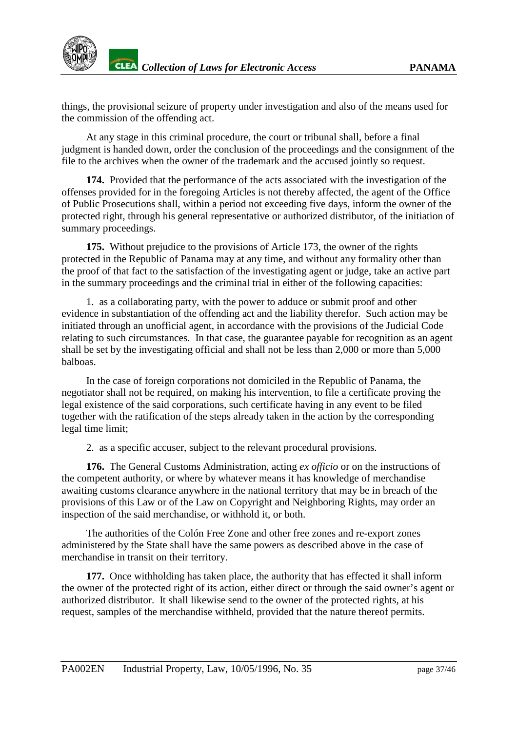

things, the provisional seizure of property under investigation and also of the means used for the commission of the offending act.

At any stage in this criminal procedure, the court or tribunal shall, before a final judgment is handed down, order the conclusion of the proceedings and the consignment of the file to the archives when the owner of the trademark and the accused jointly so request.

**174.** Provided that the performance of the acts associated with the investigation of the offenses provided for in the foregoing Articles is not thereby affected, the agent of the Office of Public Prosecutions shall, within a period not exceeding five days, inform the owner of the protected right, through his general representative or authorized distributor, of the initiation of summary proceedings.

**175.** Without prejudice to the provisions of Article 173, the owner of the rights protected in the Republic of Panama may at any time, and without any formality other than the proof of that fact to the satisfaction of the investigating agent or judge, take an active part in the summary proceedings and the criminal trial in either of the following capacities:

1. as a collaborating party, with the power to adduce or submit proof and other evidence in substantiation of the offending act and the liability therefor. Such action may be initiated through an unofficial agent, in accordance with the provisions of the Judicial Code relating to such circumstances. In that case, the guarantee payable for recognition as an agent shall be set by the investigating official and shall not be less than 2,000 or more than 5,000 balboas.

In the case of foreign corporations not domiciled in the Republic of Panama, the negotiator shall not be required, on making his intervention, to file a certificate proving the legal existence of the said corporations, such certificate having in any event to be filed together with the ratification of the steps already taken in the action by the corresponding legal time limit;

2. as a specific accuser, subject to the relevant procedural provisions.

**176.** The General Customs Administration, acting *ex officio* or on the instructions of the competent authority, or where by whatever means it has knowledge of merchandise awaiting customs clearance anywhere in the national territory that may be in breach of the provisions of this Law or of the Law on Copyright and Neighboring Rights, may order an inspection of the said merchandise, or withhold it, or both.

The authorities of the Colón Free Zone and other free zones and re-export zones administered by the State shall have the same powers as described above in the case of merchandise in transit on their territory.

**177.** Once withholding has taken place, the authority that has effected it shall inform the owner of the protected right of its action, either direct or through the said owner's agent or authorized distributor. It shall likewise send to the owner of the protected rights, at his request, samples of the merchandise withheld, provided that the nature thereof permits.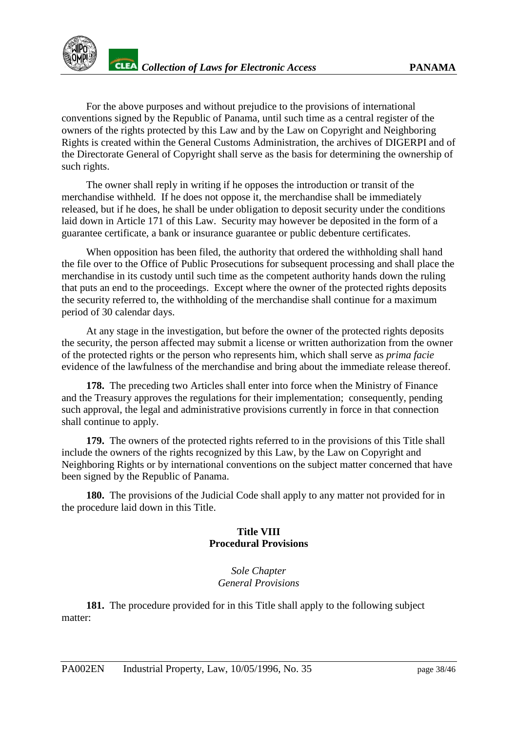<span id="page-37-0"></span>

For the above purposes and without prejudice to the provisions of international conventions signed by the Republic of Panama, until such time as a central register of the owners of the rights protected by this Law and by the Law on Copyright and Neighboring Rights is created within the General Customs Administration, the archives of DIGERPI and of the Directorate General of Copyright shall serve as the basis for determining the ownership of such rights.

The owner shall reply in writing if he opposes the introduction or transit of the merchandise withheld. If he does not oppose it, the merchandise shall be immediately released, but if he does, he shall be under obligation to deposit security under the conditions laid down in Article 171 of this Law. Security may however be deposited in the form of a guarantee certificate, a bank or insurance guarantee or public debenture certificates.

When opposition has been filed, the authority that ordered the withholding shall hand the file over to the Office of Public Prosecutions for subsequent processing and shall place the merchandise in its custody until such time as the competent authority hands down the ruling that puts an end to the proceedings. Except where the owner of the protected rights deposits the security referred to, the withholding of the merchandise shall continue for a maximum period of 30 calendar days.

At any stage in the investigation, but before the owner of the protected rights deposits the security, the person affected may submit a license or written authorization from the owner of the protected rights or the person who represents him, which shall serve as *prima facie* evidence of the lawfulness of the merchandise and bring about the immediate release thereof.

**178.** The preceding two Articles shall enter into force when the Ministry of Finance and the Treasury approves the regulations for their implementation; consequently, pending such approval, the legal and administrative provisions currently in force in that connection shall continue to apply.

**179.** The owners of the protected rights referred to in the provisions of this Title shall include the owners of the rights recognized by this Law, by the Law on Copyright and Neighboring Rights or by international conventions on the subject matter concerned that have been signed by the Republic of Panama.

**180.** The provisions of the Judicial Code shall apply to any matter not provided for in the procedure laid down in this Title.

## **Title VIII Procedural Provisions**

#### *Sole Chapter General Provisions*

**181.** The procedure provided for in this Title shall apply to the following subject matter: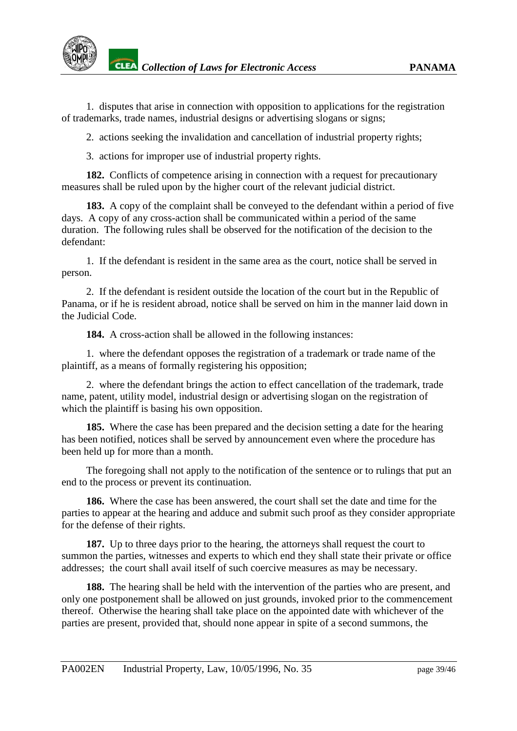1. disputes that arise in connection with opposition to applications for the registration of trademarks, trade names, industrial designs or advertising slogans or signs;

2. actions seeking the invalidation and cancellation of industrial property rights;

3. actions for improper use of industrial property rights.

**182.** Conflicts of competence arising in connection with a request for precautionary measures shall be ruled upon by the higher court of the relevant judicial district.

**183.** A copy of the complaint shall be conveyed to the defendant within a period of five days. A copy of any cross-action shall be communicated within a period of the same duration. The following rules shall be observed for the notification of the decision to the defendant:

1. If the defendant is resident in the same area as the court, notice shall be served in person.

2. If the defendant is resident outside the location of the court but in the Republic of Panama, or if he is resident abroad, notice shall be served on him in the manner laid down in the Judicial Code.

**184.** A cross-action shall be allowed in the following instances:

1. where the defendant opposes the registration of a trademark or trade name of the plaintiff, as a means of formally registering his opposition;

2. where the defendant brings the action to effect cancellation of the trademark, trade name, patent, utility model, industrial design or advertising slogan on the registration of which the plaintiff is basing his own opposition.

**185.** Where the case has been prepared and the decision setting a date for the hearing has been notified, notices shall be served by announcement even where the procedure has been held up for more than a month.

The foregoing shall not apply to the notification of the sentence or to rulings that put an end to the process or prevent its continuation.

**186.** Where the case has been answered, the court shall set the date and time for the parties to appear at the hearing and adduce and submit such proof as they consider appropriate for the defense of their rights.

**187.** Up to three days prior to the hearing, the attorneys shall request the court to summon the parties, witnesses and experts to which end they shall state their private or office addresses; the court shall avail itself of such coercive measures as may be necessary.

**188.** The hearing shall be held with the intervention of the parties who are present, and only one postponement shall be allowed on just grounds, invoked prior to the commencement thereof. Otherwise the hearing shall take place on the appointed date with whichever of the parties are present, provided that, should none appear in spite of a second summons, the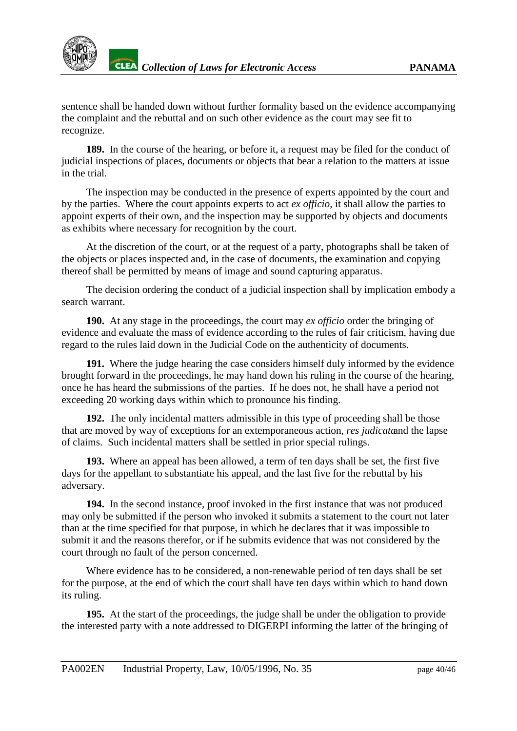sentence shall be handed down without further formality based on the evidence accompanying the complaint and the rebuttal and on such other evidence as the court may see fit to recognize.

**189.** In the course of the hearing, or before it, a request may be filed for the conduct of judicial inspections of places, documents or objects that bear a relation to the matters at issue in the trial.

The inspection may be conducted in the presence of experts appointed by the court and by the parties. Where the court appoints experts to act *ex officio*, it shall allow the parties to appoint experts of their own, and the inspection may be supported by objects and documents as exhibits where necessary for recognition by the court.

At the discretion of the court, or at the request of a party, photographs shall be taken of the objects or places inspected and, in the case of documents, the examination and copying thereof shall be permitted by means of image and sound capturing apparatus.

The decision ordering the conduct of a judicial inspection shall by implication embody a search warrant.

**190.** At any stage in the proceedings, the court may *ex officio* order the bringing of evidence and evaluate the mass of evidence according to the rules of fair criticism, having due regard to the rules laid down in the Judicial Code on the authenticity of documents.

**191.** Where the judge hearing the case considers himself duly informed by the evidence brought forward in the proceedings, he may hand down his ruling in the course of the hearing, once he has heard the submissions of the parties. If he does not, he shall have a period not exceeding 20 working days within which to pronounce his finding.

**192.** The only incidental matters admissible in this type of proceeding shall be those that are moved by way of exceptions for an extemporaneous action, *res judicata* and the lapse of claims. Such incidental matters shall be settled in prior special rulings.

**193.** Where an appeal has been allowed, a term of ten days shall be set, the first five days for the appellant to substantiate his appeal, and the last five for the rebuttal by his adversary.

**194.** In the second instance, proof invoked in the first instance that was not produced may only be submitted if the person who invoked it submits a statement to the court not later than at the time specified for that purpose, in which he declares that it was impossible to submit it and the reasons therefor, or if he submits evidence that was not considered by the court through no fault of the person concerned.

Where evidence has to be considered, a non-renewable period of ten days shall be set for the purpose, at the end of which the court shall have ten days within which to hand down its ruling.

**195.** At the start of the proceedings, the judge shall be under the obligation to provide the interested party with a note addressed to DIGERPI informing the latter of the bringing of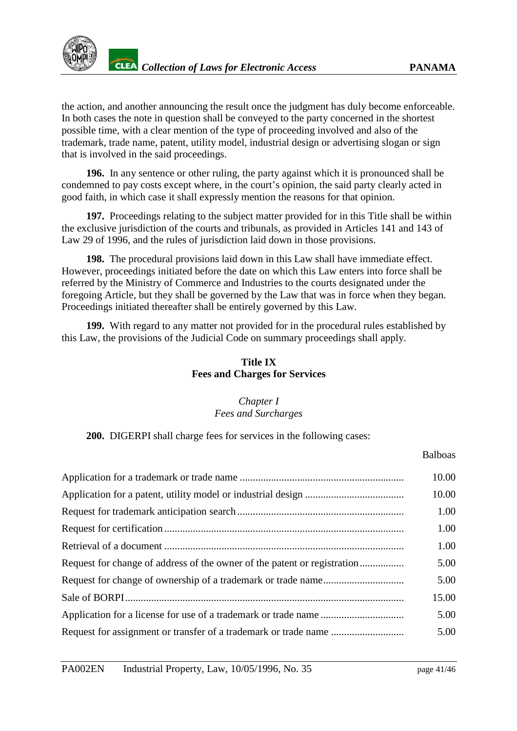<span id="page-40-0"></span>the action, and another announcing the result once the judgment has duly become enforceable. In both cases the note in question shall be conveyed to the party concerned in the shortest possible time, with a clear mention of the type of proceeding involved and also of the trademark, trade name, patent, utility model, industrial design or advertising slogan or sign that is involved in the said proceedings.

**196.** In any sentence or other ruling, the party against which it is pronounced shall be condemned to pay costs except where, in the court's opinion, the said party clearly acted in good faith, in which case it shall expressly mention the reasons for that opinion.

**197.** Proceedings relating to the subject matter provided for in this Title shall be within the exclusive jurisdiction of the courts and tribunals, as provided in Articles 141 and 143 of Law 29 of 1996, and the rules of jurisdiction laid down in those provisions.

**198.** The procedural provisions laid down in this Law shall have immediate effect. However, proceedings initiated before the date on which this Law enters into force shall be referred by the Ministry of Commerce and Industries to the courts designated under the foregoing Article, but they shall be governed by the Law that was in force when they began. Proceedings initiated thereafter shall be entirely governed by this Law.

**199.** With regard to any matter not provided for in the procedural rules established by this Law, the provisions of the Judicial Code on summary proceedings shall apply.

## **Title IX Fees and Charges for Services**

## *Chapter I Fees and Surcharges*

**200.** DIGERPI shall charge fees for services in the following cases:

#### Balboas

|  | 10.00 |
|--|-------|
|  | 1.00  |
|  | 1.00  |
|  | 1.00  |
|  | 5.00  |
|  | 5.00  |
|  | 15.00 |
|  | 5.00  |
|  | 5.00  |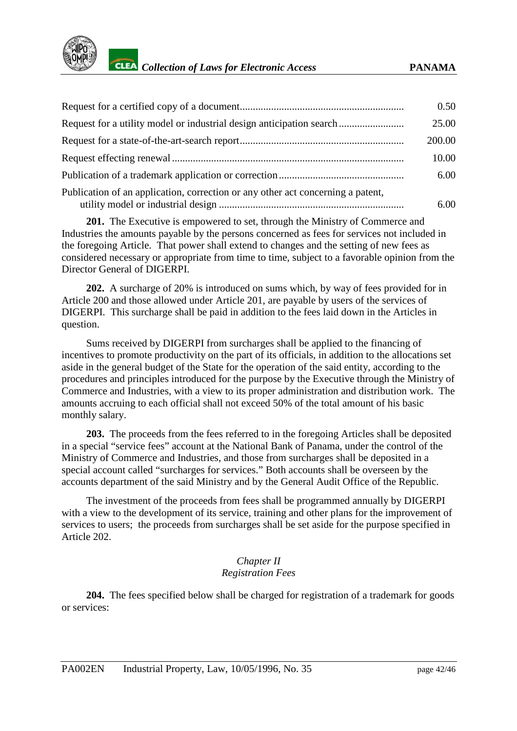<span id="page-41-0"></span>

|                                                                                 | 0.50   |
|---------------------------------------------------------------------------------|--------|
|                                                                                 | 25.00  |
|                                                                                 | 200.00 |
|                                                                                 | 10.00  |
|                                                                                 | 6.00   |
| Publication of an application, correction or any other act concerning a patent, | 6.00   |

**201.** The Executive is empowered to set, through the Ministry of Commerce and Industries the amounts payable by the persons concerned as fees for services not included in the foregoing Article. That power shall extend to changes and the setting of new fees as considered necessary or appropriate from time to time, subject to a favorable opinion from the Director General of DIGERPI.

**202.** A surcharge of 20% is introduced on sums which, by way of fees provided for in Article 200 and those allowed under Article 201, are payable by users of the services of DIGERPI. This surcharge shall be paid in addition to the fees laid down in the Articles in question.

Sums received by DIGERPI from surcharges shall be applied to the financing of incentives to promote productivity on the part of its officials, in addition to the allocations set aside in the general budget of the State for the operation of the said entity, according to the procedures and principles introduced for the purpose by the Executive through the Ministry of Commerce and Industries, with a view to its proper administration and distribution work. The amounts accruing to each official shall not exceed 50% of the total amount of his basic monthly salary.

**203.** The proceeds from the fees referred to in the foregoing Articles shall be deposited in a special "service fees" account at the National Bank of Panama, under the control of the Ministry of Commerce and Industries, and those from surcharges shall be deposited in a special account called "surcharges for services." Both accounts shall be overseen by the accounts department of the said Ministry and by the General Audit Office of the Republic.

The investment of the proceeds from fees shall be programmed annually by DIGERPI with a view to the development of its service, training and other plans for the improvement of services to users; the proceeds from surcharges shall be set aside for the purpose specified in Article 202.

#### *Chapter II Registration Fees*

**204.** The fees specified below shall be charged for registration of a trademark for goods or services: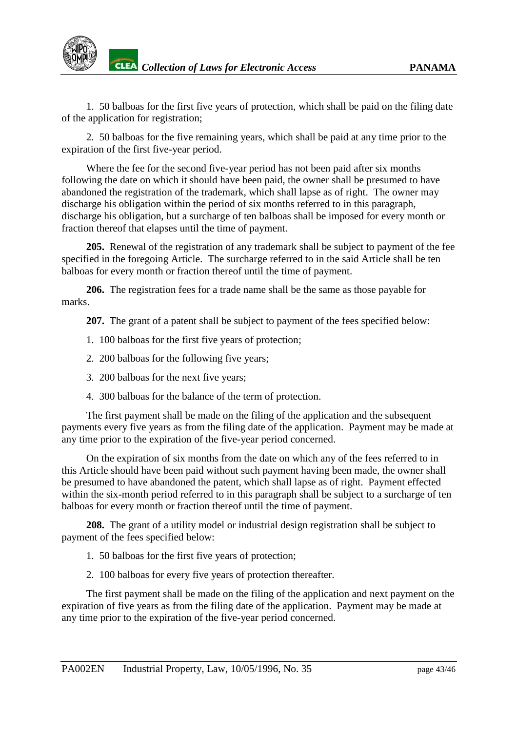1. 50 balboas for the first five years of protection, which shall be paid on the filing date of the application for registration;

2. 50 balboas for the five remaining years, which shall be paid at any time prior to the expiration of the first five-year period.

Where the fee for the second five-year period has not been paid after six months following the date on which it should have been paid, the owner shall be presumed to have abandoned the registration of the trademark, which shall lapse as of right. The owner may discharge his obligation within the period of six months referred to in this paragraph, discharge his obligation, but a surcharge of ten balboas shall be imposed for every month or fraction thereof that elapses until the time of payment.

**205.** Renewal of the registration of any trademark shall be subject to payment of the fee specified in the foregoing Article. The surcharge referred to in the said Article shall be ten balboas for every month or fraction thereof until the time of payment.

**206.** The registration fees for a trade name shall be the same as those payable for marks.

**207.** The grant of a patent shall be subject to payment of the fees specified below:

- 1. 100 balboas for the first five years of protection;
- 2. 200 balboas for the following five years;
- 3. 200 balboas for the next five years;
- 4. 300 balboas for the balance of the term of protection.

The first payment shall be made on the filing of the application and the subsequent payments every five years as from the filing date of the application. Payment may be made at any time prior to the expiration of the five-year period concerned.

On the expiration of six months from the date on which any of the fees referred to in this Article should have been paid without such payment having been made, the owner shall be presumed to have abandoned the patent, which shall lapse as of right. Payment effected within the six-month period referred to in this paragraph shall be subject to a surcharge of ten balboas for every month or fraction thereof until the time of payment.

**208.** The grant of a utility model or industrial design registration shall be subject to payment of the fees specified below:

1. 50 balboas for the first five years of protection;

2. 100 balboas for every five years of protection thereafter.

The first payment shall be made on the filing of the application and next payment on the expiration of five years as from the filing date of the application. Payment may be made at any time prior to the expiration of the five-year period concerned.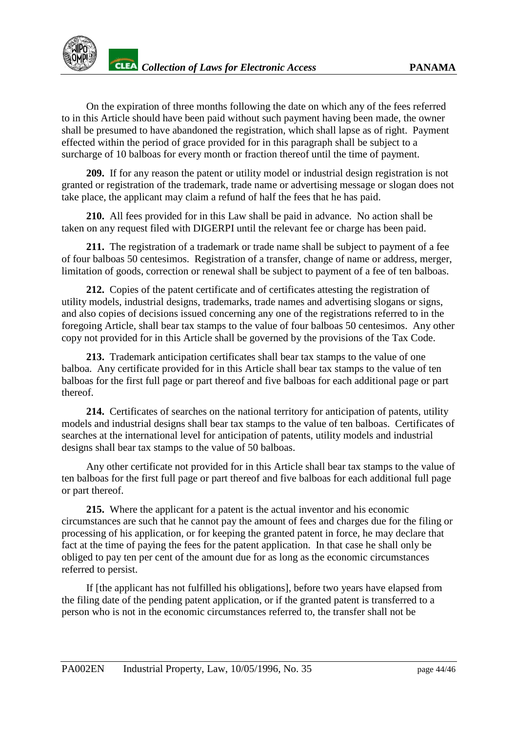On the expiration of three months following the date on which any of the fees referred to in this Article should have been paid without such payment having been made, the owner shall be presumed to have abandoned the registration, which shall lapse as of right. Payment effected within the period of grace provided for in this paragraph shall be subject to a surcharge of 10 balboas for every month or fraction thereof until the time of payment.

**209.** If for any reason the patent or utility model or industrial design registration is not granted or registration of the trademark, trade name or advertising message or slogan does not take place, the applicant may claim a refund of half the fees that he has paid.

**210.** All fees provided for in this Law shall be paid in advance. No action shall be taken on any request filed with DIGERPI until the relevant fee or charge has been paid.

**211.** The registration of a trademark or trade name shall be subject to payment of a fee of four balboas 50 centesimos. Registration of a transfer, change of name or address, merger, limitation of goods, correction or renewal shall be subject to payment of a fee of ten balboas.

**212.** Copies of the patent certificate and of certificates attesting the registration of utility models, industrial designs, trademarks, trade names and advertising slogans or signs, and also copies of decisions issued concerning any one of the registrations referred to in the foregoing Article, shall bear tax stamps to the value of four balboas 50 centesimos. Any other copy not provided for in this Article shall be governed by the provisions of the Tax Code.

**213.** Trademark anticipation certificates shall bear tax stamps to the value of one balboa. Any certificate provided for in this Article shall bear tax stamps to the value of ten balboas for the first full page or part thereof and five balboas for each additional page or part thereof.

**214.** Certificates of searches on the national territory for anticipation of patents, utility models and industrial designs shall bear tax stamps to the value of ten balboas. Certificates of searches at the international level for anticipation of patents, utility models and industrial designs shall bear tax stamps to the value of 50 balboas.

Any other certificate not provided for in this Article shall bear tax stamps to the value of ten balboas for the first full page or part thereof and five balboas for each additional full page or part thereof.

**215.** Where the applicant for a patent is the actual inventor and his economic circumstances are such that he cannot pay the amount of fees and charges due for the filing or processing of his application, or for keeping the granted patent in force, he may declare that fact at the time of paying the fees for the patent application. In that case he shall only be obliged to pay ten per cent of the amount due for as long as the economic circumstances referred to persist.

If [the applicant has not fulfilled his obligations], before two years have elapsed from the filing date of the pending patent application, or if the granted patent is transferred to a person who is not in the economic circumstances referred to, the transfer shall not be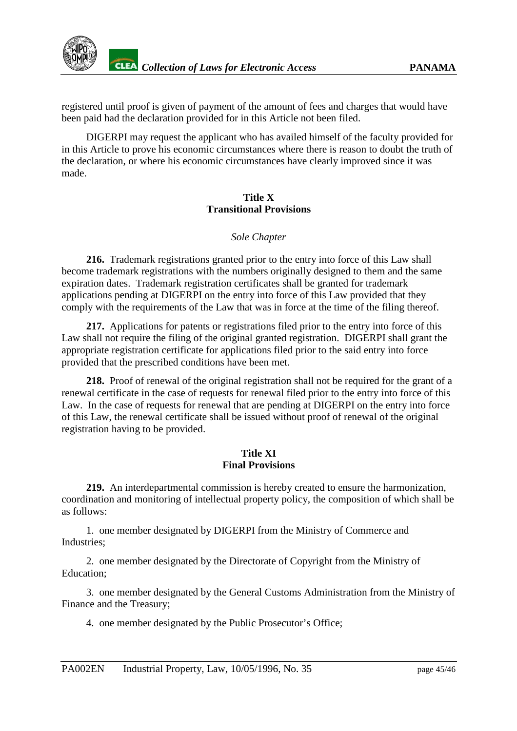<span id="page-44-0"></span>registered until proof is given of payment of the amount of fees and charges that would have been paid had the declaration provided for in this Article not been filed.

DIGERPI may request the applicant who has availed himself of the faculty provided for in this Article to prove his economic circumstances where there is reason to doubt the truth of the declaration, or where his economic circumstances have clearly improved since it was made.

## **Title X Transitional Provisions**

## *Sole Chapter*

**216.** Trademark registrations granted prior to the entry into force of this Law shall become trademark registrations with the numbers originally designed to them and the same expiration dates. Trademark registration certificates shall be granted for trademark applications pending at DIGERPI on the entry into force of this Law provided that they comply with the requirements of the Law that was in force at the time of the filing thereof.

**217.** Applications for patents or registrations filed prior to the entry into force of this Law shall not require the filing of the original granted registration. DIGERPI shall grant the appropriate registration certificate for applications filed prior to the said entry into force provided that the prescribed conditions have been met.

**218.** Proof of renewal of the original registration shall not be required for the grant of a renewal certificate in the case of requests for renewal filed prior to the entry into force of this Law. In the case of requests for renewal that are pending at DIGERPI on the entry into force of this Law, the renewal certificate shall be issued without proof of renewal of the original registration having to be provided.

#### **Title XI Final Provisions**

**219.** An interdepartmental commission is hereby created to ensure the harmonization, coordination and monitoring of intellectual property policy, the composition of which shall be as follows:

1. one member designated by DIGERPI from the Ministry of Commerce and Industries;

2. one member designated by the Directorate of Copyright from the Ministry of Education;

3. one member designated by the General Customs Administration from the Ministry of Finance and the Treasury;

4. one member designated by the Public Prosecutor's Office;